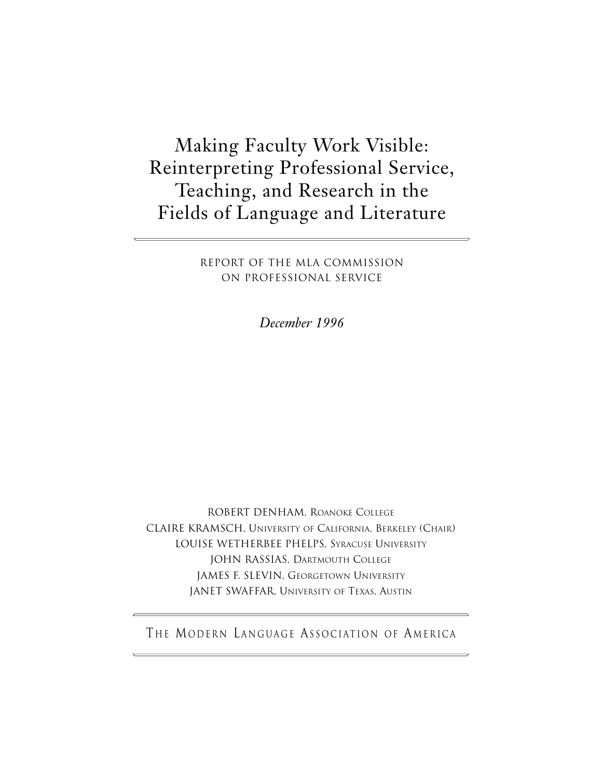Making Faculty Work Visible: Reinterpreting Professional Service, Teaching, and Research in the Fields of Language and Literature

> Report of the MLA Commission on Professional Service

> > *December 1996*

ROBERT DENHAM, ROANOKE COLLEGE Claire Kramsch, UNIVERSITY OF CALIFORNIA, BERKELEY (CHAIR) Louise Wetherbee Phelps, SYRACUSE UNIVERSITY **JOHN RASSIAS, DARTMOUTH COLLEGE** James F. Slevin, GEORGETOWN UNIVERSITY Janet Swaffar, UNIVERSITY OF TEXAS, AUSTIN

The Modern Language Association of America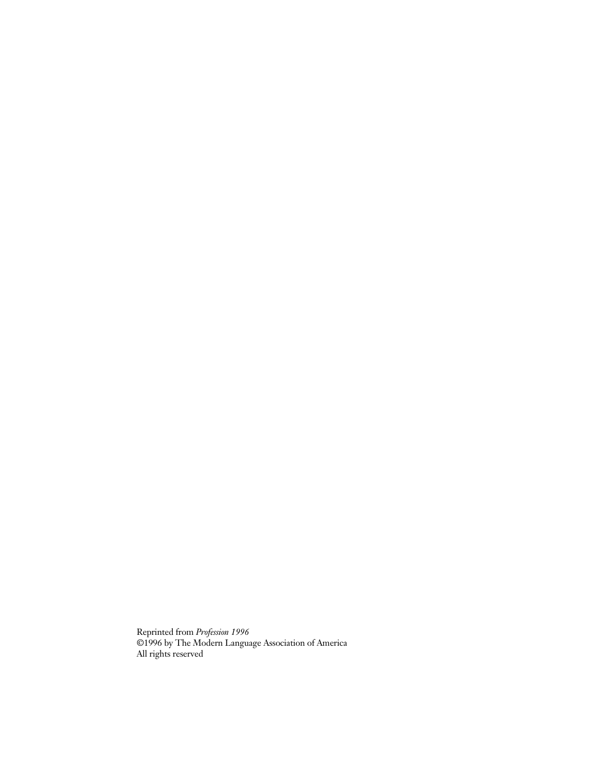Reprinted from *Profession 1996* ©1996 by The Modern Language Association of America All rights reserved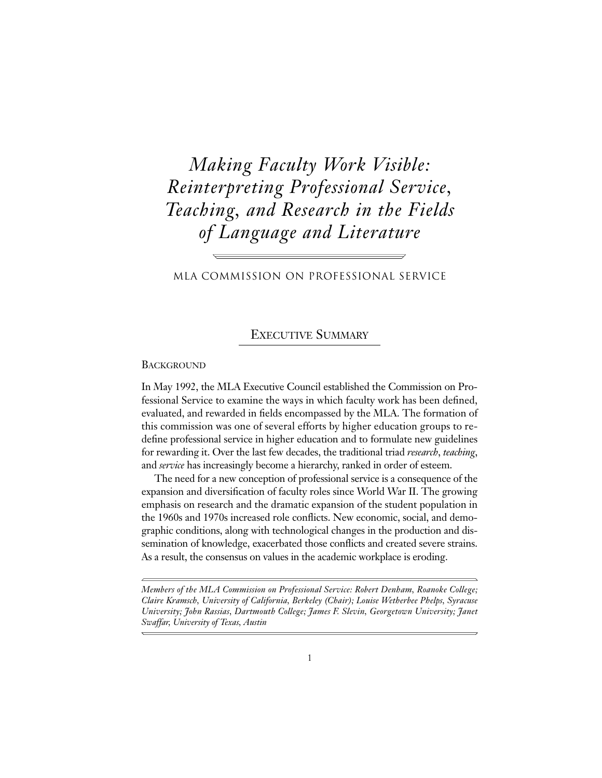*Making Faculty Work Visible: Reinterpreting Professional Service, Teaching, and Research in the Fields of Language and Literature*

### MLA Commission on Professional Service

# EXECUTIVE SUMMARY

### **BACKGROUND**

In May 1992, the MLA Executive Council established the Commission on Professional Service to examine the ways in which faculty work has been defined, evaluated, and rewarded in fields encompassed by the MLA. The formation of this commission was one of several efforts by higher education groups to redefine professional service in higher education and to formulate new guidelines for rewarding it. Over the last few decades, the traditional triad *research*, *teaching*, and *service* has increasingly become a hierarchy, ranked in order of esteem.

The need for a new conception of professional service is a consequence of the expansion and diversification of faculty roles since World War II. The growing emphasis on research and the dramatic expansion of the student population in the 1960s and 1970s increased role conflicts. New economic, social, and demographic conditions, along with technological changes in the production and dissemination of knowledge, exacerbated those conflicts and created severe strains. As a result, the consensus on values in the academic workplace is eroding.

*Members of the MLA Commission on Professional Service: Robert Denham, Roanoke College; Claire Kramsch, University of California, Berkeley (Chair); Louise Wetherbee Phelps, Syracuse University; John Rassias, Dartmouth College; James F. Slevin, Georgetown University; Janet Swaffar, University of Texas, Austin*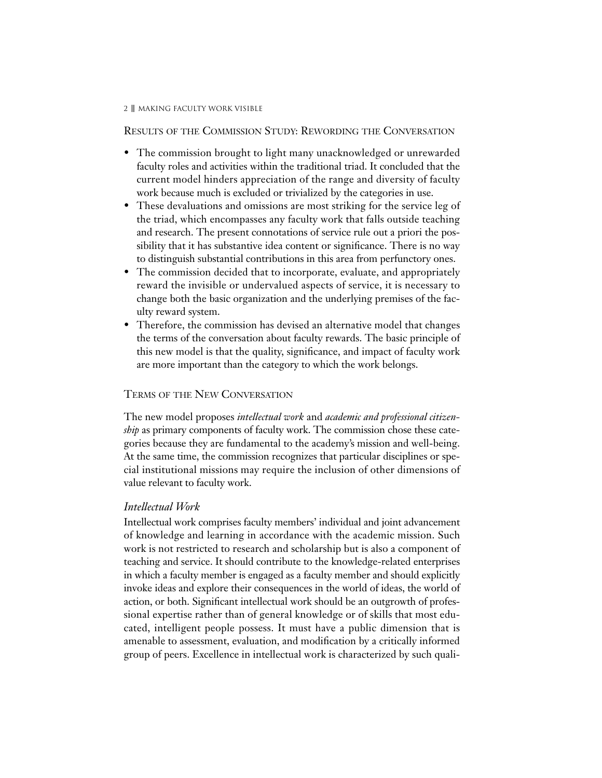### 2 ||| making Faculty Work Visible

# RESULTS OF THE COMMISSION STUDY: REWORDING THE CONVERSATION

- The commission brought to light many unacknowledged or unrewarded faculty roles and activities within the traditional triad. It concluded that the current model hinders appreciation of the range and diversity of faculty work because much is excluded or trivialized by the categories in use.
- These devaluations and omissions are most striking for the service leg of the triad, which encompasses any faculty work that falls outside teaching and research. The present connotations of service rule out a priori the possibility that it has substantive idea content or significance. There is no way to distinguish substantial contributions in this area from perfunctory ones.
- The commission decided that to incorporate, evaluate, and appropriately reward the invisible or undervalued aspects of service, it is necessary to change both the basic organization and the underlying premises of the faculty reward system.
- Therefore, the commission has devised an alternative model that changes the terms of the conversation about faculty rewards. The basic principle of this new model is that the quality, significance, and impact of faculty work are more important than the category to which the work belongs.

# TERMS OF THE NEW CONVERSATION

The new model proposes *intellectual work* and *academic and professional citizenship* as primary components of faculty work. The commission chose these categories because they are fundamental to the academy's mission and well-being. At the same time, the commission recognizes that particular disciplines or special institutional missions may require the inclusion of other dimensions of value relevant to faculty work.

# *Intellectual Work*

Intellectual work comprises faculty members' individual and joint advancement of knowledge and learning in accordance with the academic mission. Such work is not restricted to research and scholarship but is also a component of teaching and service. It should contribute to the knowledge-related enterprises in which a faculty member is engaged as a faculty member and should explicitly invoke ideas and explore their consequences in the world of ideas, the world of action, or both. Significant intellectual work should be an outgrowth of professional expertise rather than of general knowledge or of skills that most educated, intelligent people possess. It must have a public dimension that is amenable to assessment, evaluation, and modification by a critically informed group of peers. Excellence in intellectual work is characterized by such quali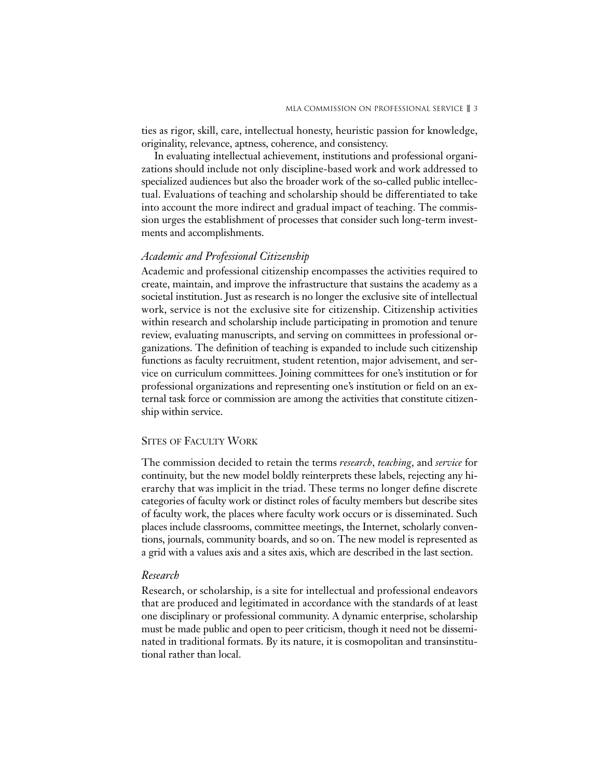ties as rigor, skill, care, intellectual honesty, heuristic passion for knowledge, originality, relevance, aptness, coherence, and consistency.

In evaluating intellectual achievement, institutions and professional organizations should include not only discipline-based work and work addressed to specialized audiences but also the broader work of the so-called public intellectual. Evaluations of teaching and scholarship should be differentiated to take into account the more indirect and gradual impact of teaching. The commission urges the establishment of processes that consider such long-term investments and accomplishments.

# *Academic and Professional Citizenship*

Academic and professional citizenship encompasses the activities required to create, maintain, and improve the infrastructure that sustains the academy as a societal institution. Just as research is no longer the exclusive site of intellectual work, service is not the exclusive site for citizenship. Citizenship activities within research and scholarship include participating in promotion and tenure review, evaluating manuscripts, and serving on committees in professional organizations. The definition of teaching is expanded to include such citizenship functions as faculty recruitment, student retention, major advisement, and service on curriculum committees. Joining committees for one's institution or for professional organizations and representing one's institution or field on an external task force or commission are among the activities that constitute citizenship within service.

# SITES OF FACULTY WORK

The commission decided to retain the terms *research*, *teaching*, and *service* for continuity, but the new model boldly reinterprets these labels, rejecting any hierarchy that was implicit in the triad. These terms no longer define discrete categories of faculty work or distinct roles of faculty members but describe sites of faculty work, the places where faculty work occurs or is disseminated. Such places include classrooms, committee meetings, the Internet, scholarly conventions, journals, community boards, and so on. The new model is represented as a grid with a values axis and a sites axis, which are described in the last section.

# *Research*

Research, or scholarship, is a site for intellectual and professional endeavors that are produced and legitimated in accordance with the standards of at least one disciplinary or professional community. A dynamic enterprise, scholarship must be made public and open to peer criticism, though it need not be disseminated in traditional formats. By its nature, it is cosmopolitan and transinstitutional rather than local.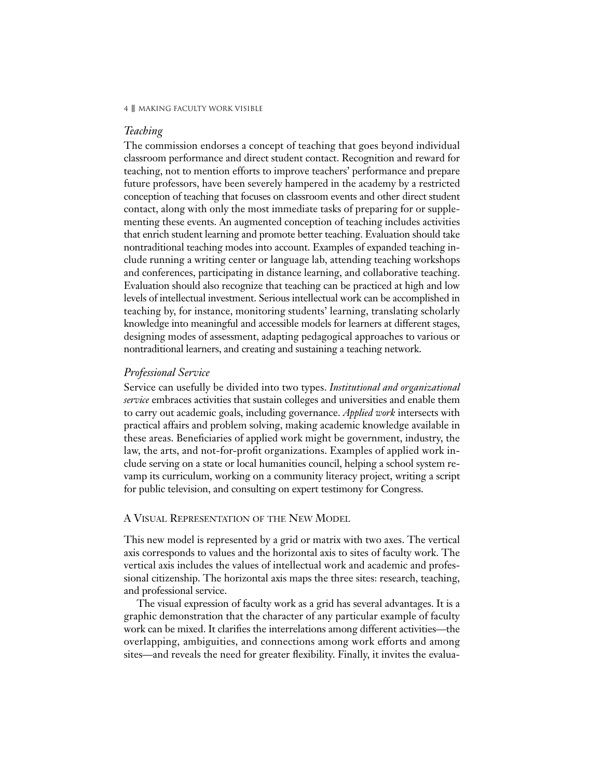## *Teaching*

The commission endorses a concept of teaching that goes beyond individual classroom performance and direct student contact. Recognition and reward for teaching, not to mention efforts to improve teachers' performance and prepare future professors, have been severely hampered in the academy by a restricted conception of teaching that focuses on classroom events and other direct student contact, along with only the most immediate tasks of preparing for or supplementing these events. An augmented conception of teaching includes activities that enrich student learning and promote better teaching. Evaluation should take nontraditional teaching modes into account. Examples of expanded teaching include running a writing center or language lab, attending teaching workshops and conferences, participating in distance learning, and collaborative teaching. Evaluation should also recognize that teaching can be practiced at high and low levels of intellectual investment. Serious intellectual work can be accomplished in teaching by, for instance, monitoring students' learning, translating scholarly knowledge into meaningful and accessible models for learners at different stages, designing modes of assessment, adapting pedagogical approaches to various or nontraditional learners, and creating and sustaining a teaching network.

## *Professional Service*

Service can usefully be divided into two types. *Institutional and organizational service* embraces activities that sustain colleges and universities and enable them to carry out academic goals, including governance. *Applied work* intersects with practical affairs and problem solving, making academic knowledge available in these areas. Beneficiaries of applied work might be government, industry, the law, the arts, and not-for-profit organizations. Examples of applied work include serving on a state or local humanities council, helping a school system revamp its curriculum, working on a community literacy project, writing a script for public television, and consulting on expert testimony for Congress.

### A VISUAL REPRESENTATION OF THE NEW MODEL

This new model is represented by a grid or matrix with two axes. The vertical axis corresponds to values and the horizontal axis to sites of faculty work. The vertical axis includes the values of intellectual work and academic and professional citizenship. The horizontal axis maps the three sites: research, teaching, and professional service.

The visual expression of faculty work as a grid has several advantages. It is a graphic demonstration that the character of any particular example of faculty work can be mixed. It clarifies the interrelations among different activities—the overlapping, ambiguities, and connections among work efforts and among sites—and reveals the need for greater flexibility. Finally, it invites the evalua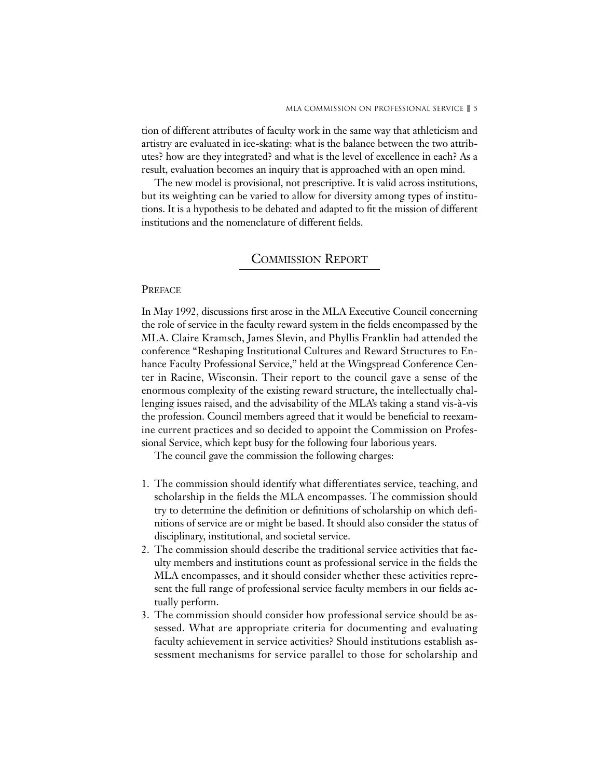tion of different attributes of faculty work in the same way that athleticism and artistry are evaluated in ice-skating: what is the balance between the two attributes? how are they integrated? and what is the level of excellence in each? As a result, evaluation becomes an inquiry that is approached with an open mind.

The new model is provisional, not prescriptive. It is valid across institutions, but its weighting can be varied to allow for diversity among types of institutions. It is a hypothesis to be debated and adapted to fit the mission of different institutions and the nomenclature of different fields.

# COMMISSION REPORT

### **PREFACE**

In May 1992, discussions first arose in the MLA Executive Council concerning the role of service in the faculty reward system in the fields encompassed by the MLA. Claire Kramsch, James Slevin, and Phyllis Franklin had attended the conference "Reshaping Institutional Cultures and Reward Structures to Enhance Faculty Professional Service," held at the Wingspread Conference Center in Racine, Wisconsin. Their report to the council gave a sense of the enormous complexity of the existing reward structure, the intellectually challenging issues raised, and the advisability of the MLA's taking a stand vis-à-vis the profession. Council members agreed that it would be beneficial to reexamine current practices and so decided to appoint the Commission on Professional Service, which kept busy for the following four laborious years.

The council gave the commission the following charges:

- 1. The commission should identify what differentiates service, teaching, and scholarship in the fields the MLA encompasses. The commission should try to determine the definition or definitions of scholarship on which definitions of service are or might be based. It should also consider the status of disciplinary, institutional, and societal service.
- 2. The commission should describe the traditional service activities that faculty members and institutions count as professional service in the fields the MLA encompasses, and it should consider whether these activities represent the full range of professional service faculty members in our fields actually perform.
- 3. The commission should consider how professional service should be assessed. What are appropriate criteria for documenting and evaluating faculty achievement in service activities? Should institutions establish assessment mechanisms for service parallel to those for scholarship and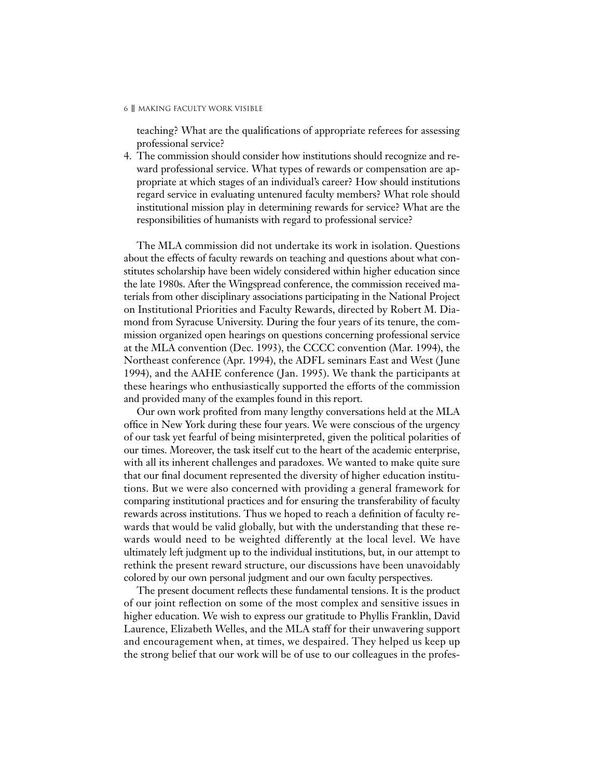#### 6 ||| making Faculty Work Visible

teaching? What are the qualifications of appropriate referees for assessing professional service?

4. The commission should consider how institutions should recognize and reward professional service. What types of rewards or compensation are appropriate at which stages of an individual's career? How should institutions regard service in evaluating untenured faculty members? What role should institutional mission play in determining rewards for service? What are the responsibilities of humanists with regard to professional service?

The MLA commission did not undertake its work in isolation. Questions about the effects of faculty rewards on teaching and questions about what constitutes scholarship have been widely considered within higher education since the late 1980s. After the Wingspread conference, the commission received materials from other disciplinary associations participating in the National Project on Institutional Priorities and Faculty Rewards, directed by Robert M. Diamond from Syracuse University. During the four years of its tenure, the commission organized open hearings on questions concerning professional service at the MLA convention (Dec. 1993), the CCCC convention (Mar. 1994), the Northeast conference (Apr. 1994), the ADFL seminars East and West (June 1994), and the AAHE conference (Jan. 1995). We thank the participants at these hearings who enthusiastically supported the efforts of the commission and provided many of the examples found in this report.

Our own work profited from many lengthy conversations held at the MLA office in New York during these four years. We were conscious of the urgency of our task yet fearful of being misinterpreted, given the political polarities of our times. Moreover, the task itself cut to the heart of the academic enterprise, with all its inherent challenges and paradoxes. We wanted to make quite sure that our final document represented the diversity of higher education institutions. But we were also concerned with providing a general framework for comparing institutional practices and for ensuring the transferability of faculty rewards across institutions. Thus we hoped to reach a definition of faculty rewards that would be valid globally, but with the understanding that these rewards would need to be weighted differently at the local level. We have ultimately left judgment up to the individual institutions, but, in our attempt to rethink the present reward structure, our discussions have been unavoidably colored by our own personal judgment and our own faculty perspectives.

The present document reflects these fundamental tensions. It is the product of our joint reflection on some of the most complex and sensitive issues in higher education. We wish to express our gratitude to Phyllis Franklin, David Laurence, Elizabeth Welles, and the MLA staff for their unwavering support and encouragement when, at times, we despaired. They helped us keep up the strong belief that our work will be of use to our colleagues in the profes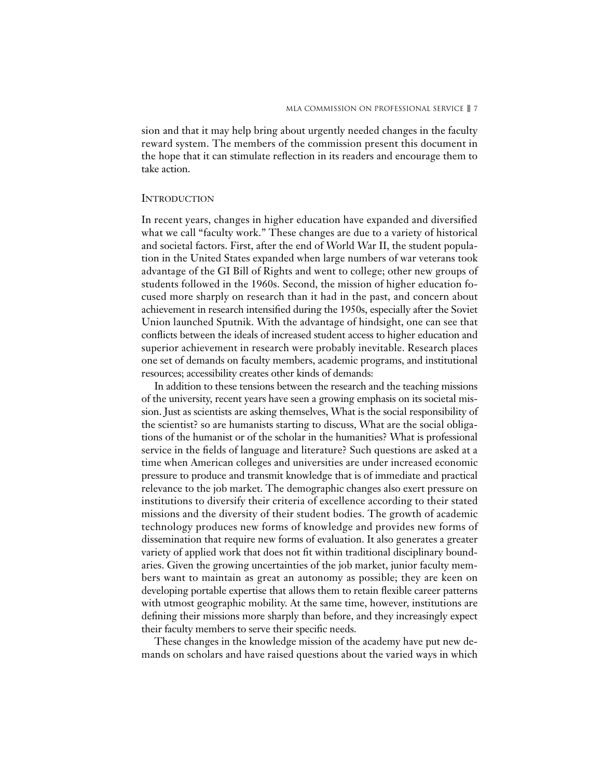sion and that it may help bring about urgently needed changes in the faculty reward system. The members of the commission present this document in the hope that it can stimulate reflection in its readers and encourage them to take action.

#### **INTRODUCTION**

In recent years, changes in higher education have expanded and diversified what we call "faculty work." These changes are due to a variety of historical and societal factors. First, after the end of World War II, the student population in the United States expanded when large numbers of war veterans took advantage of the GI Bill of Rights and went to college; other new groups of students followed in the 1960s. Second, the mission of higher education focused more sharply on research than it had in the past, and concern about achievement in research intensified during the 1950s, especially after the Soviet Union launched Sputnik. With the advantage of hindsight, one can see that conflicts between the ideals of increased student access to higher education and superior achievement in research were probably inevitable. Research places one set of demands on faculty members, academic programs, and institutional resources; accessibility creates other kinds of demands:

In addition to these tensions between the research and the teaching missions of the university, recent years have seen a growing emphasis on its societal mission. Just as scientists are asking themselves, What is the social responsibility of the scientist? so are humanists starting to discuss, What are the social obligations of the humanist or of the scholar in the humanities? What is professional service in the fields of language and literature? Such questions are asked at a time when American colleges and universities are under increased economic pressure to produce and transmit knowledge that is of immediate and practical relevance to the job market. The demographic changes also exert pressure on institutions to diversify their criteria of excellence according to their stated missions and the diversity of their student bodies. The growth of academic technology produces new forms of knowledge and provides new forms of dissemination that require new forms of evaluation. It also generates a greater variety of applied work that does not fit within traditional disciplinary boundaries. Given the growing uncertainties of the job market, junior faculty members want to maintain as great an autonomy as possible; they are keen on developing portable expertise that allows them to retain flexible career patterns with utmost geographic mobility. At the same time, however, institutions are defining their missions more sharply than before, and they increasingly expect their faculty members to serve their specific needs.

These changes in the knowledge mission of the academy have put new demands on scholars and have raised questions about the varied ways in which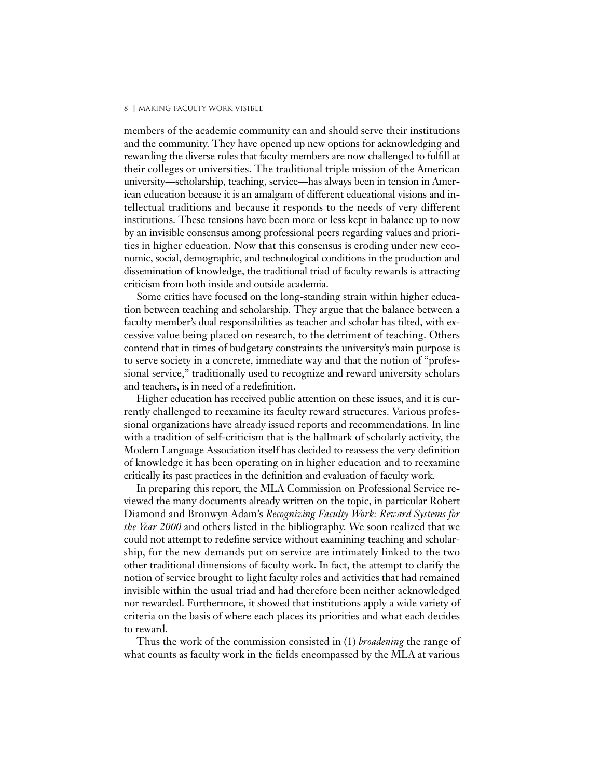members of the academic community can and should serve their institutions and the community. They have opened up new options for acknowledging and rewarding the diverse roles that faculty members are now challenged to fulfill at their colleges or universities. The traditional triple mission of the American university—scholarship, teaching, service—has always been in tension in American education because it is an amalgam of different educational visions and intellectual traditions and because it responds to the needs of very different institutions. These tensions have been more or less kept in balance up to now by an invisible consensus among professional peers regarding values and priorities in higher education. Now that this consensus is eroding under new economic, social, demographic, and technological conditions in the production and dissemination of knowledge, the traditional triad of faculty rewards is attracting criticism from both inside and outside academia.

Some critics have focused on the long-standing strain within higher education between teaching and scholarship. They argue that the balance between a faculty member's dual responsibilities as teacher and scholar has tilted, with excessive value being placed on research, to the detriment of teaching. Others contend that in times of budgetary constraints the university's main purpose is to serve society in a concrete, immediate way and that the notion of "professional service," traditionally used to recognize and reward university scholars and teachers, is in need of a redefinition.

Higher education has received public attention on these issues, and it is currently challenged to reexamine its faculty reward structures. Various professional organizations have already issued reports and recommendations. In line with a tradition of self-criticism that is the hallmark of scholarly activity, the Modern Language Association itself has decided to reassess the very definition of knowledge it has been operating on in higher education and to reexamine critically its past practices in the definition and evaluation of faculty work.

In preparing this report, the MLA Commission on Professional Service reviewed the many documents already written on the topic, in particular Robert Diamond and Bronwyn Adam's *Recognizing Faculty Work: Reward Systems for the Year 2000* and others listed in the bibliography. We soon realized that we could not attempt to redefine service without examining teaching and scholarship, for the new demands put on service are intimately linked to the two other traditional dimensions of faculty work. In fact, the attempt to clarify the notion of service brought to light faculty roles and activities that had remained invisible within the usual triad and had therefore been neither acknowledged nor rewarded. Furthermore, it showed that institutions apply a wide variety of criteria on the basis of where each places its priorities and what each decides to reward.

Thus the work of the commission consisted in (1) *broadening* the range of what counts as faculty work in the fields encompassed by the MLA at various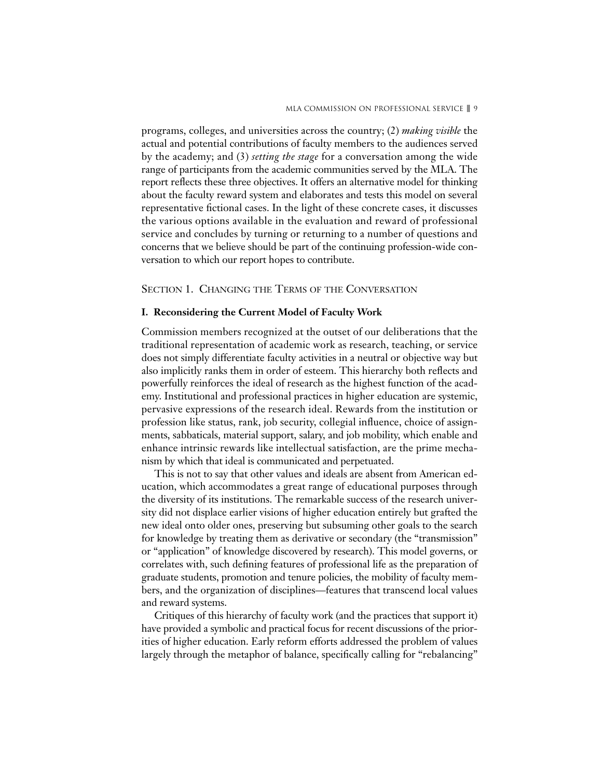programs, colleges, and universities across the country; (2) *making visible* the actual and potential contributions of faculty members to the audiences served by the academy; and (3) *setting the stage* for a conversation among the wide range of participants from the academic communities served by the MLA. The report reflects these three objectives. It offers an alternative model for thinking about the faculty reward system and elaborates and tests this model on several representative fictional cases. In the light of these concrete cases, it discusses the various options available in the evaluation and reward of professional service and concludes by turning or returning to a number of questions and concerns that we believe should be part of the continuing profession-wide conversation to which our report hopes to contribute.

# SECTION 1. CHANGING THE TERMS OF THE CONVERSATION

## **I. Reconsidering the Current Model of Faculty Work**

Commission members recognized at the outset of our deliberations that the traditional representation of academic work as research, teaching, or service does not simply differentiate faculty activities in a neutral or objective way but also implicitly ranks them in order of esteem. This hierarchy both reflects and powerfully reinforces the ideal of research as the highest function of the academy. Institutional and professional practices in higher education are systemic, pervasive expressions of the research ideal. Rewards from the institution or profession like status, rank, job security, collegial influence, choice of assignments, sabbaticals, material support, salary, and job mobility, which enable and enhance intrinsic rewards like intellectual satisfaction, are the prime mechanism by which that ideal is communicated and perpetuated.

This is not to say that other values and ideals are absent from American education, which accommodates a great range of educational purposes through the diversity of its institutions. The remarkable success of the research university did not displace earlier visions of higher education entirely but grafted the new ideal onto older ones, preserving but subsuming other goals to the search for knowledge by treating them as derivative or secondary (the "transmission" or "application" of knowledge discovered by research). This model governs, or correlates with, such defining features of professional life as the preparation of graduate students, promotion and tenure policies, the mobility of faculty members, and the organization of disciplines—features that transcend local values and reward systems.

Critiques of this hierarchy of faculty work (and the practices that support it) have provided a symbolic and practical focus for recent discussions of the priorities of higher education. Early reform efforts addressed the problem of values largely through the metaphor of balance, specifically calling for "rebalancing"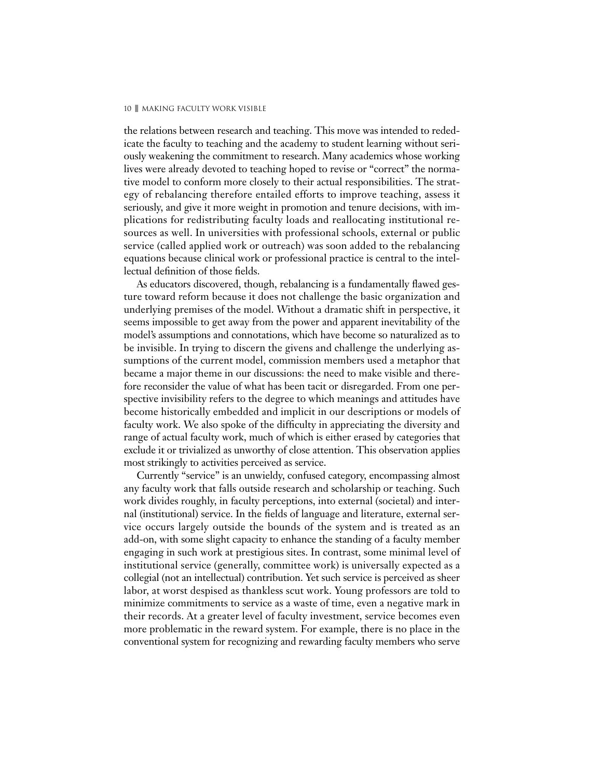the relations between research and teaching. This move was intended to rededicate the faculty to teaching and the academy to student learning without seriously weakening the commitment to research. Many academics whose working lives were already devoted to teaching hoped to revise or "correct" the normative model to conform more closely to their actual responsibilities. The strategy of rebalancing therefore entailed efforts to improve teaching, assess it seriously, and give it more weight in promotion and tenure decisions, with implications for redistributing faculty loads and reallocating institutional resources as well. In universities with professional schools, external or public service (called applied work or outreach) was soon added to the rebalancing equations because clinical work or professional practice is central to the intellectual definition of those fields.

As educators discovered, though, rebalancing is a fundamentally flawed gesture toward reform because it does not challenge the basic organization and underlying premises of the model. Without a dramatic shift in perspective, it seems impossible to get away from the power and apparent inevitability of the model's assumptions and connotations, which have become so naturalized as to be invisible. In trying to discern the givens and challenge the underlying assumptions of the current model, commission members used a metaphor that became a major theme in our discussions: the need to make visible and therefore reconsider the value of what has been tacit or disregarded. From one perspective invisibility refers to the degree to which meanings and attitudes have become historically embedded and implicit in our descriptions or models of faculty work. We also spoke of the difficulty in appreciating the diversity and range of actual faculty work, much of which is either erased by categories that exclude it or trivialized as unworthy of close attention. This observation applies most strikingly to activities perceived as service.

Currently "service" is an unwieldy, confused category, encompassing almost any faculty work that falls outside research and scholarship or teaching. Such work divides roughly, in faculty perceptions, into external (societal) and internal (institutional) service. In the fields of language and literature, external service occurs largely outside the bounds of the system and is treated as an add-on, with some slight capacity to enhance the standing of a faculty member engaging in such work at prestigious sites. In contrast, some minimal level of institutional service (generally, committee work) is universally expected as a collegial (not an intellectual) contribution. Yet such service is perceived as sheer labor, at worst despised as thankless scut work. Young professors are told to minimize commitments to service as a waste of time, even a negative mark in their records. At a greater level of faculty investment, service becomes even more problematic in the reward system. For example, there is no place in the conventional system for recognizing and rewarding faculty members who serve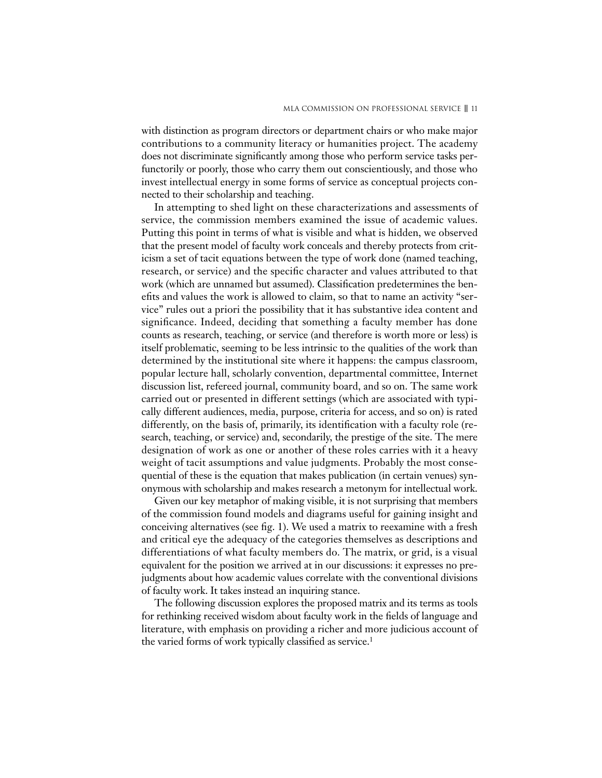with distinction as program directors or department chairs or who make major contributions to a community literacy or humanities project. The academy does not discriminate significantly among those who perform service tasks perfunctorily or poorly, those who carry them out conscientiously, and those who invest intellectual energy in some forms of service as conceptual projects connected to their scholarship and teaching.

In attempting to shed light on these characterizations and assessments of service, the commission members examined the issue of academic values. Putting this point in terms of what is visible and what is hidden, we observed that the present model of faculty work conceals and thereby protects from criticism a set of tacit equations between the type of work done (named teaching, research, or service) and the specific character and values attributed to that work (which are unnamed but assumed). Classification predetermines the benefits and values the work is allowed to claim, so that to name an activity "service" rules out a priori the possibility that it has substantive idea content and significance. Indeed, deciding that something a faculty member has done counts as research, teaching, or service (and therefore is worth more or less) is itself problematic, seeming to be less intrinsic to the qualities of the work than determined by the institutional site where it happens: the campus classroom, popular lecture hall, scholarly convention, departmental committee, Internet discussion list, refereed journal, community board, and so on. The same work carried out or presented in different settings (which are associated with typically different audiences, media, purpose, criteria for access, and so on) is rated differently, on the basis of, primarily, its identification with a faculty role (research, teaching, or service) and, secondarily, the prestige of the site. The mere designation of work as one or another of these roles carries with it a heavy weight of tacit assumptions and value judgments. Probably the most consequential of these is the equation that makes publication (in certain venues) synonymous with scholarship and makes research a metonym for intellectual work.

Given our key metaphor of making visible, it is not surprising that members of the commission found models and diagrams useful for gaining insight and conceiving alternatives (see fig. 1). We used a matrix to reexamine with a fresh and critical eye the adequacy of the categories themselves as descriptions and differentiations of what faculty members do. The matrix, or grid, is a visual equivalent for the position we arrived at in our discussions: it expresses no prejudgments about how academic values correlate with the conventional divisions of faculty work. It takes instead an inquiring stance.

The following discussion explores the proposed matrix and its terms as tools for rethinking received wisdom about faculty work in the fields of language and literature, with emphasis on providing a richer and more judicious account of the varied forms of work typically classified as service.<sup>1</sup>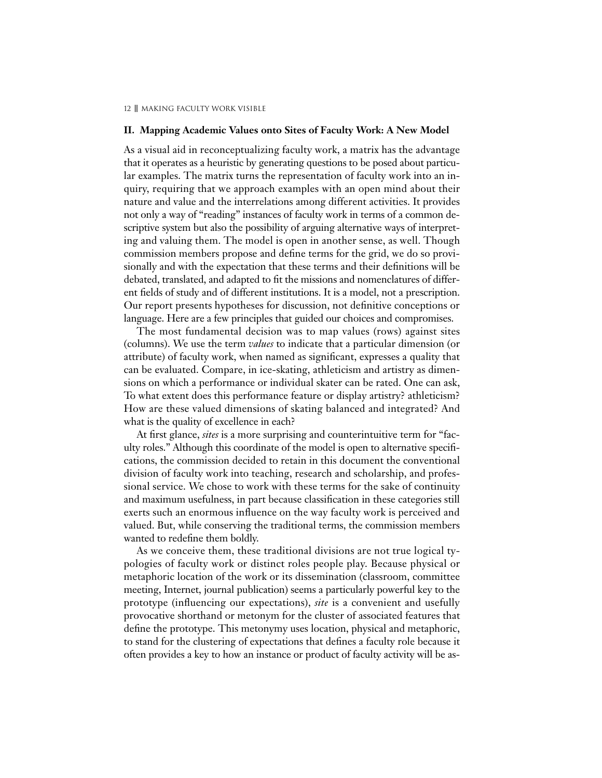### **II. Mapping Academic Values onto Sites of Faculty Work: A New Model**

As a visual aid in reconceptualizing faculty work, a matrix has the advantage that it operates as a heuristic by generating questions to be posed about particular examples. The matrix turns the representation of faculty work into an inquiry, requiring that we approach examples with an open mind about their nature and value and the interrelations among different activities. It provides not only a way of "reading" instances of faculty work in terms of a common descriptive system but also the possibility of arguing alternative ways of interpreting and valuing them. The model is open in another sense, as well. Though commission members propose and define terms for the grid, we do so provisionally and with the expectation that these terms and their definitions will be debated, translated, and adapted to fit the missions and nomenclatures of different fields of study and of different institutions. It is a model, not a prescription. Our report presents hypotheses for discussion, not definitive conceptions or language. Here are a few principles that guided our choices and compromises.

The most fundamental decision was to map values (rows) against sites (columns). We use the term *values* to indicate that a particular dimension (or attribute) of faculty work, when named as significant, expresses a quality that can be evaluated. Compare, in ice-skating, athleticism and artistry as dimensions on which a performance or individual skater can be rated. One can ask, To what extent does this performance feature or display artistry? athleticism? How are these valued dimensions of skating balanced and integrated? And what is the quality of excellence in each?

At first glance, *sites* is a more surprising and counterintuitive term for "faculty roles." Although this coordinate of the model is open to alternative specifications, the commission decided to retain in this document the conventional division of faculty work into teaching, research and scholarship, and professional service. We chose to work with these terms for the sake of continuity and maximum usefulness, in part because classification in these categories still exerts such an enormous influence on the way faculty work is perceived and valued. But, while conserving the traditional terms, the commission members wanted to redefine them boldly.

As we conceive them, these traditional divisions are not true logical typologies of faculty work or distinct roles people play. Because physical or metaphoric location of the work or its dissemination (classroom, committee meeting, Internet, journal publication) seems a particularly powerful key to the prototype (influencing our expectations), *site* is a convenient and usefully provocative shorthand or metonym for the cluster of associated features that define the prototype. This metonymy uses location, physical and metaphoric, to stand for the clustering of expectations that defines a faculty role because it often provides a key to how an instance or product of faculty activity will be as-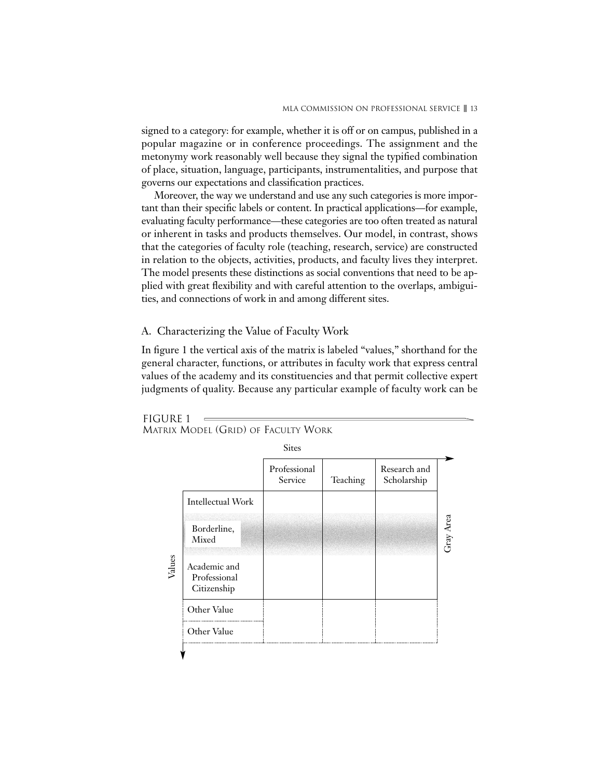signed to a category: for example, whether it is off or on campus, published in a popular magazine or in conference proceedings. The assignment and the metonymy work reasonably well because they signal the typified combination of place, situation, language, participants, instrumentalities, and purpose that governs our expectations and classification practices.

Moreover, the way we understand and use any such categories is more important than their specific labels or content. In practical applications—for example, evaluating faculty performance—these categories are too often treated as natural or inherent in tasks and products themselves. Our model, in contrast, shows that the categories of faculty role (teaching, research, service) are constructed in relation to the objects, activities, products, and faculty lives they interpret. The model presents these distinctions as social conventions that need to be applied with great flexibility and with careful attention to the overlaps, ambiguities, and connections of work in and among different sites.

A. Characterizing the Value of Faculty Work

In figure 1 the vertical axis of the matrix is labeled "values," shorthand for the general character, functions, or attributes in faculty work that express central values of the academy and its constituencies and that permit collective expert judgments of quality. Because any particular example of faculty work can be

| FIGURE 1 |                                     |
|----------|-------------------------------------|
|          | Matrix Model (Grid) of Faculty Work |

|        |                                             | Professional<br>Service | Teaching | Research and<br>Scholarship |           |
|--------|---------------------------------------------|-------------------------|----------|-----------------------------|-----------|
|        | Intellectual Work                           |                         |          |                             |           |
|        | Borderline,<br>Mixed                        |                         |          |                             | Gray Area |
| Values | Academic and<br>Professional<br>Citizenship |                         |          |                             |           |
|        | Other Value                                 |                         |          |                             |           |
|        | Other Value                                 |                         |          |                             |           |

**Sites**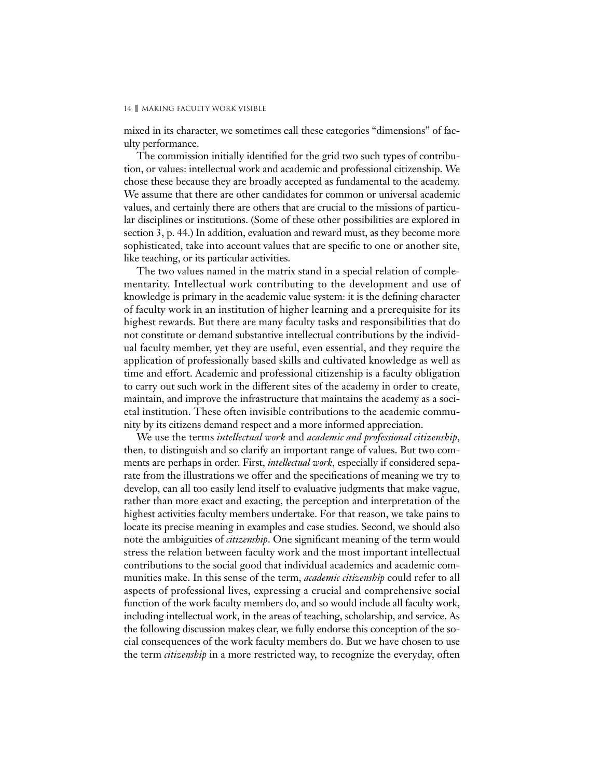mixed in its character, we sometimes call these categories "dimensions" of faculty performance.

The commission initially identified for the grid two such types of contribution, or values: intellectual work and academic and professional citizenship. We chose these because they are broadly accepted as fundamental to the academy. We assume that there are other candidates for common or universal academic values, and certainly there are others that are crucial to the missions of particular disciplines or institutions. (Some of these other possibilities are explored in section 3, p. 44.) In addition, evaluation and reward must, as they become more sophisticated, take into account values that are specific to one or another site, like teaching, or its particular activities.

The two values named in the matrix stand in a special relation of complementarity. Intellectual work contributing to the development and use of knowledge is primary in the academic value system: it is the defining character of faculty work in an institution of higher learning and a prerequisite for its highest rewards. But there are many faculty tasks and responsibilities that do not constitute or demand substantive intellectual contributions by the individual faculty member, yet they are useful, even essential, and they require the application of professionally based skills and cultivated knowledge as well as time and effort. Academic and professional citizenship is a faculty obligation to carry out such work in the different sites of the academy in order to create, maintain, and improve the infrastructure that maintains the academy as a societal institution. These often invisible contributions to the academic community by its citizens demand respect and a more informed appreciation.

We use the terms *intellectual work* and *academic and professional citizenship*, then, to distinguish and so clarify an important range of values. But two comments are perhaps in order. First, *intellectual work*, especially if considered separate from the illustrations we offer and the specifications of meaning we try to develop, can all too easily lend itself to evaluative judgments that make vague, rather than more exact and exacting, the perception and interpretation of the highest activities faculty members undertake. For that reason, we take pains to locate its precise meaning in examples and case studies. Second, we should also note the ambiguities of *citizenship*. One significant meaning of the term would stress the relation between faculty work and the most important intellectual contributions to the social good that individual academics and academic communities make. In this sense of the term, *academic citizenship* could refer to all aspects of professional lives, expressing a crucial and comprehensive social function of the work faculty members do, and so would include all faculty work, including intellectual work, in the areas of teaching, scholarship, and service. As the following discussion makes clear, we fully endorse this conception of the social consequences of the work faculty members do. But we have chosen to use the term *citizenship* in a more restricted way, to recognize the everyday, often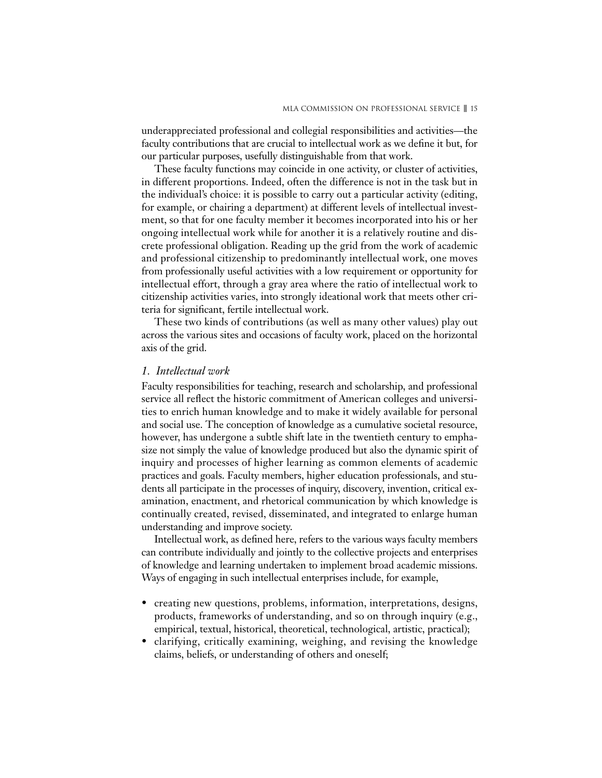underappreciated professional and collegial responsibilities and activities—the faculty contributions that are crucial to intellectual work as we define it but, for our particular purposes, usefully distinguishable from that work.

These faculty functions may coincide in one activity, or cluster of activities, in different proportions. Indeed, often the difference is not in the task but in the individual's choice: it is possible to carry out a particular activity (editing, for example, or chairing a department) at different levels of intellectual investment, so that for one faculty member it becomes incorporated into his or her ongoing intellectual work while for another it is a relatively routine and discrete professional obligation. Reading up the grid from the work of academic and professional citizenship to predominantly intellectual work, one moves from professionally useful activities with a low requirement or opportunity for intellectual effort, through a gray area where the ratio of intellectual work to citizenship activities varies, into strongly ideational work that meets other criteria for significant, fertile intellectual work.

These two kinds of contributions (as well as many other values) play out across the various sites and occasions of faculty work, placed on the horizontal axis of the grid.

### *1. Intellectual work*

Faculty responsibilities for teaching, research and scholarship, and professional service all reflect the historic commitment of American colleges and universities to enrich human knowledge and to make it widely available for personal and social use. The conception of knowledge as a cumulative societal resource, however, has undergone a subtle shift late in the twentieth century to emphasize not simply the value of knowledge produced but also the dynamic spirit of inquiry and processes of higher learning as common elements of academic practices and goals. Faculty members, higher education professionals, and students all participate in the processes of inquiry, discovery, invention, critical examination, enactment, and rhetorical communication by which knowledge is continually created, revised, disseminated, and integrated to enlarge human understanding and improve society.

Intellectual work, as defined here, refers to the various ways faculty members can contribute individually and jointly to the collective projects and enterprises of knowledge and learning undertaken to implement broad academic missions. Ways of engaging in such intellectual enterprises include, for example,

- creating new questions, problems, information, interpretations, designs, products, frameworks of understanding, and so on through inquiry (e.g., empirical, textual, historical, theoretical, technological, artistic, practical);
- clarifying, critically examining, weighing, and revising the knowledge claims, beliefs, or understanding of others and oneself;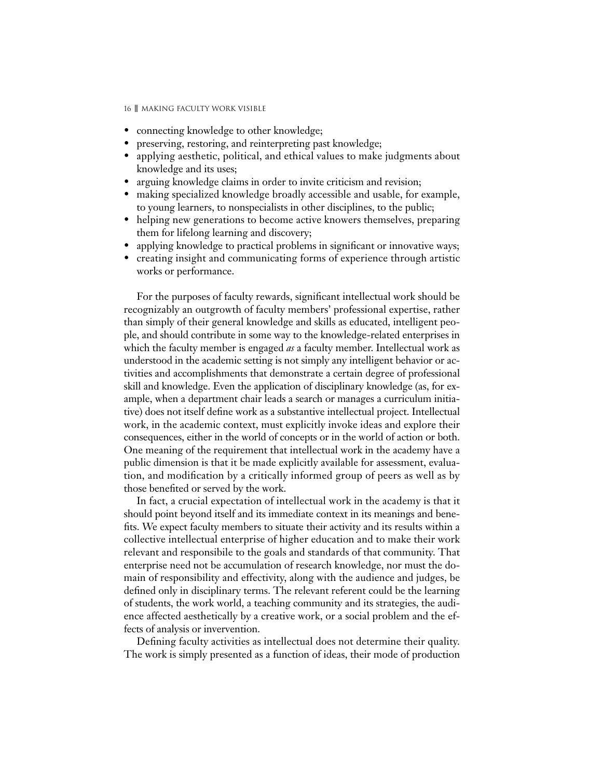- connecting knowledge to other knowledge;
- preserving, restoring, and reinterpreting past knowledge;
- applying aesthetic, political, and ethical values to make judgments about knowledge and its uses;
- arguing knowledge claims in order to invite criticism and revision;
- making specialized knowledge broadly accessible and usable, for example, to young learners, to nonspecialists in other disciplines, to the public;
- helping new generations to become active knowers themselves, preparing them for lifelong learning and discovery;
- applying knowledge to practical problems in significant or innovative ways;
- creating insight and communicating forms of experience through artistic works or performance.

For the purposes of faculty rewards, significant intellectual work should be recognizably an outgrowth of faculty members' professional expertise, rather than simply of their general knowledge and skills as educated, intelligent people, and should contribute in some way to the knowledge-related enterprises in which the faculty member is engaged *as* a faculty member. Intellectual work as understood in the academic setting is not simply any intelligent behavior or activities and accomplishments that demonstrate a certain degree of professional skill and knowledge. Even the application of disciplinary knowledge (as, for example, when a department chair leads a search or manages a curriculum initiative) does not itself define work as a substantive intellectual project. Intellectual work, in the academic context, must explicitly invoke ideas and explore their consequences, either in the world of concepts or in the world of action or both. One meaning of the requirement that intellectual work in the academy have a public dimension is that it be made explicitly available for assessment, evaluation, and modification by a critically informed group of peers as well as by those benefited or served by the work.

In fact, a crucial expectation of intellectual work in the academy is that it should point beyond itself and its immediate context in its meanings and benefits. We expect faculty members to situate their activity and its results within a collective intellectual enterprise of higher education and to make their work relevant and responsibile to the goals and standards of that community. That enterprise need not be accumulation of research knowledge, nor must the domain of responsibility and effectivity, along with the audience and judges, be defined only in disciplinary terms. The relevant referent could be the learning of students, the work world, a teaching community and its strategies, the audience affected aesthetically by a creative work, or a social problem and the effects of analysis or invervention.

Defining faculty activities as intellectual does not determine their quality. The work is simply presented as a function of ideas, their mode of production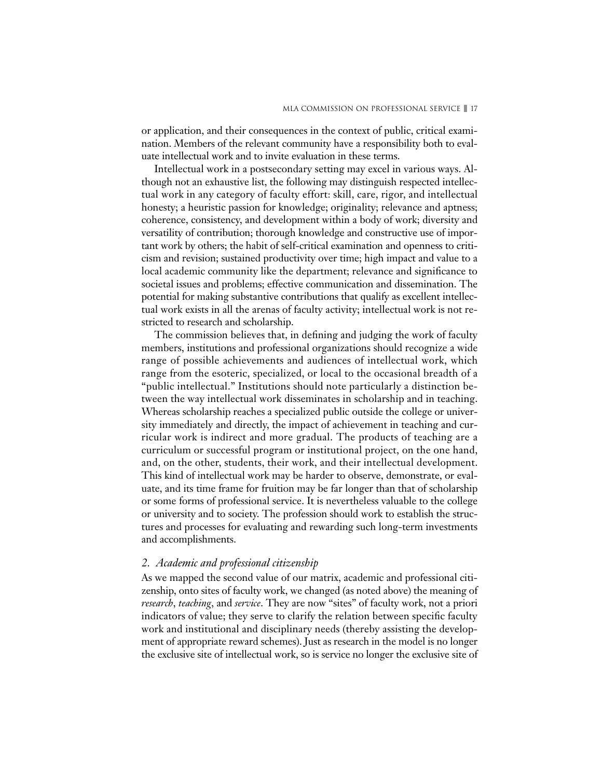or application, and their consequences in the context of public, critical examination. Members of the relevant community have a responsibility both to evaluate intellectual work and to invite evaluation in these terms.

Intellectual work in a postsecondary setting may excel in various ways. Although not an exhaustive list, the following may distinguish respected intellectual work in any category of faculty effort: skill, care, rigor, and intellectual honesty; a heuristic passion for knowledge; originality; relevance and aptness; coherence, consistency, and development within a body of work; diversity and versatility of contribution; thorough knowledge and constructive use of important work by others; the habit of self-critical examination and openness to criticism and revision; sustained productivity over time; high impact and value to a local academic community like the department; relevance and significance to societal issues and problems; effective communication and dissemination. The potential for making substantive contributions that qualify as excellent intellectual work exists in all the arenas of faculty activity; intellectual work is not restricted to research and scholarship.

The commission believes that, in defining and judging the work of faculty members, institutions and professional organizations should recognize a wide range of possible achievements and audiences of intellectual work, which range from the esoteric, specialized, or local to the occasional breadth of a "public intellectual." Institutions should note particularly a distinction between the way intellectual work disseminates in scholarship and in teaching. Whereas scholarship reaches a specialized public outside the college or university immediately and directly, the impact of achievement in teaching and curricular work is indirect and more gradual. The products of teaching are a curriculum or successful program or institutional project, on the one hand, and, on the other, students, their work, and their intellectual development. This kind of intellectual work may be harder to observe, demonstrate, or evaluate, and its time frame for fruition may be far longer than that of scholarship or some forms of professional service. It is nevertheless valuable to the college or university and to society. The profession should work to establish the structures and processes for evaluating and rewarding such long-term investments and accomplishments.

# *2. Academic and professional citizenship*

As we mapped the second value of our matrix, academic and professional citizenship, onto sites of faculty work, we changed (as noted above) the meaning of *research*, *teaching*, and *service*. They are now "sites" of faculty work, not a priori indicators of value; they serve to clarify the relation between specific faculty work and institutional and disciplinary needs (thereby assisting the development of appropriate reward schemes). Just as research in the model is no longer the exclusive site of intellectual work, so is service no longer the exclusive site of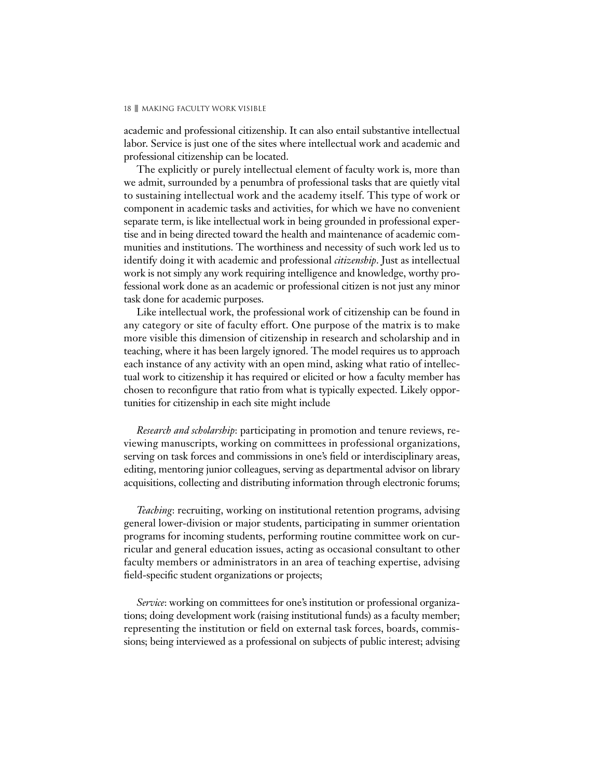academic and professional citizenship. It can also entail substantive intellectual labor. Service is just one of the sites where intellectual work and academic and professional citizenship can be located.

The explicitly or purely intellectual element of faculty work is, more than we admit, surrounded by a penumbra of professional tasks that are quietly vital to sustaining intellectual work and the academy itself. This type of work or component in academic tasks and activities, for which we have no convenient separate term, is like intellectual work in being grounded in professional expertise and in being directed toward the health and maintenance of academic communities and institutions. The worthiness and necessity of such work led us to identify doing it with academic and professional *citizenship*. Just as intellectual work is not simply any work requiring intelligence and knowledge, worthy professional work done as an academic or professional citizen is not just any minor task done for academic purposes.

Like intellectual work, the professional work of citizenship can be found in any category or site of faculty effort. One purpose of the matrix is to make more visible this dimension of citizenship in research and scholarship and in teaching, where it has been largely ignored. The model requires us to approach each instance of any activity with an open mind, asking what ratio of intellectual work to citizenship it has required or elicited or how a faculty member has chosen to reconfigure that ratio from what is typically expected. Likely opportunities for citizenship in each site might include

*Research and scholarship*: participating in promotion and tenure reviews, reviewing manuscripts, working on committees in professional organizations, serving on task forces and commissions in one's field or interdisciplinary areas, editing, mentoring junior colleagues, serving as departmental advisor on library acquisitions, collecting and distributing information through electronic forums;

*Teaching*: recruiting, working on institutional retention programs, advising general lower-division or major students, participating in summer orientation programs for incoming students, performing routine committee work on curricular and general education issues, acting as occasional consultant to other faculty members or administrators in an area of teaching expertise, advising field-specific student organizations or projects;

*Service*: working on committees for one's institution or professional organizations; doing development work (raising institutional funds) as a faculty member; representing the institution or field on external task forces, boards, commissions; being interviewed as a professional on subjects of public interest; advising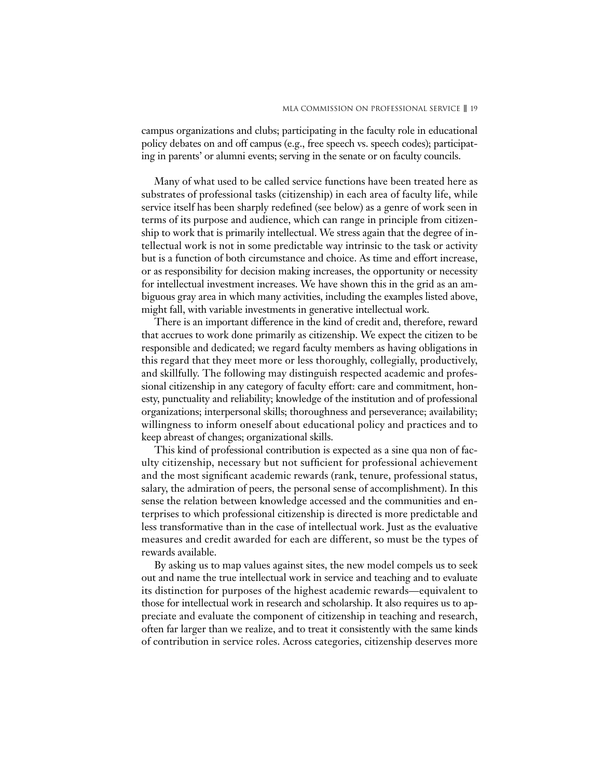campus organizations and clubs; participating in the faculty role in educational policy debates on and off campus (e.g., free speech vs. speech codes); participating in parents' or alumni events; serving in the senate or on faculty councils.

Many of what used to be called service functions have been treated here as substrates of professional tasks (citizenship) in each area of faculty life, while service itself has been sharply redefined (see below) as a genre of work seen in terms of its purpose and audience, which can range in principle from citizenship to work that is primarily intellectual. We stress again that the degree of intellectual work is not in some predictable way intrinsic to the task or activity but is a function of both circumstance and choice. As time and effort increase, or as responsibility for decision making increases, the opportunity or necessity for intellectual investment increases. We have shown this in the grid as an ambiguous gray area in which many activities, including the examples listed above, might fall, with variable investments in generative intellectual work.

There is an important difference in the kind of credit and, therefore, reward that accrues to work done primarily as citizenship. We expect the citizen to be responsible and dedicated; we regard faculty members as having obligations in this regard that they meet more or less thoroughly, collegially, productively, and skillfully. The following may distinguish respected academic and professional citizenship in any category of faculty effort: care and commitment, honesty, punctuality and reliability; knowledge of the institution and of professional organizations; interpersonal skills; thoroughness and perseverance; availability; willingness to inform oneself about educational policy and practices and to keep abreast of changes; organizational skills.

This kind of professional contribution is expected as a sine qua non of faculty citizenship, necessary but not sufficient for professional achievement and the most significant academic rewards (rank, tenure, professional status, salary, the admiration of peers, the personal sense of accomplishment). In this sense the relation between knowledge accessed and the communities and enterprises to which professional citizenship is directed is more predictable and less transformative than in the case of intellectual work. Just as the evaluative measures and credit awarded for each are different, so must be the types of rewards available.

By asking us to map values against sites, the new model compels us to seek out and name the true intellectual work in service and teaching and to evaluate its distinction for purposes of the highest academic rewards—equivalent to those for intellectual work in research and scholarship. It also requires us to appreciate and evaluate the component of citizenship in teaching and research, often far larger than we realize, and to treat it consistently with the same kinds of contribution in service roles. Across categories, citizenship deserves more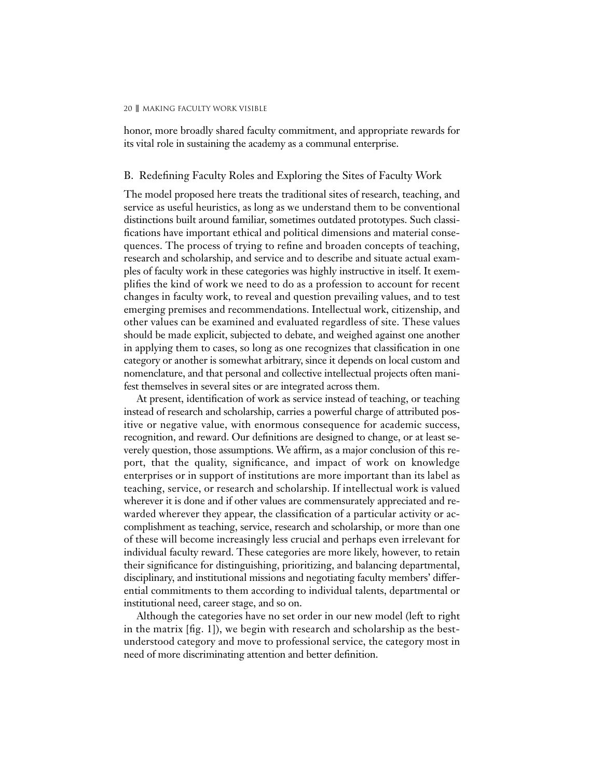honor, more broadly shared faculty commitment, and appropriate rewards for its vital role in sustaining the academy as a communal enterprise.

## B. Redefining Faculty Roles and Exploring the Sites of Faculty Work

The model proposed here treats the traditional sites of research, teaching, and service as useful heuristics, as long as we understand them to be conventional distinctions built around familiar, sometimes outdated prototypes. Such classifications have important ethical and political dimensions and material consequences. The process of trying to refine and broaden concepts of teaching, research and scholarship, and service and to describe and situate actual examples of faculty work in these categories was highly instructive in itself. It exemplifies the kind of work we need to do as a profession to account for recent changes in faculty work, to reveal and question prevailing values, and to test emerging premises and recommendations. Intellectual work, citizenship, and other values can be examined and evaluated regardless of site. These values should be made explicit, subjected to debate, and weighed against one another in applying them to cases, so long as one recognizes that classification in one category or another is somewhat arbitrary, since it depends on local custom and nomenclature, and that personal and collective intellectual projects often manifest themselves in several sites or are integrated across them.

At present, identification of work as service instead of teaching, or teaching instead of research and scholarship, carries a powerful charge of attributed positive or negative value, with enormous consequence for academic success, recognition, and reward. Our definitions are designed to change, or at least severely question, those assumptions. We affirm, as a major conclusion of this report, that the quality, significance, and impact of work on knowledge enterprises or in support of institutions are more important than its label as teaching, service, or research and scholarship. If intellectual work is valued wherever it is done and if other values are commensurately appreciated and rewarded wherever they appear, the classification of a particular activity or accomplishment as teaching, service, research and scholarship, or more than one of these will become increasingly less crucial and perhaps even irrelevant for individual faculty reward. These categories are more likely, however, to retain their significance for distinguishing, prioritizing, and balancing departmental, disciplinary, and institutional missions and negotiating faculty members' differential commitments to them according to individual talents, departmental or institutional need, career stage, and so on.

Although the categories have no set order in our new model (left to right in the matrix [fig. 1]), we begin with research and scholarship as the bestunderstood category and move to professional service, the category most in need of more discriminating attention and better definition.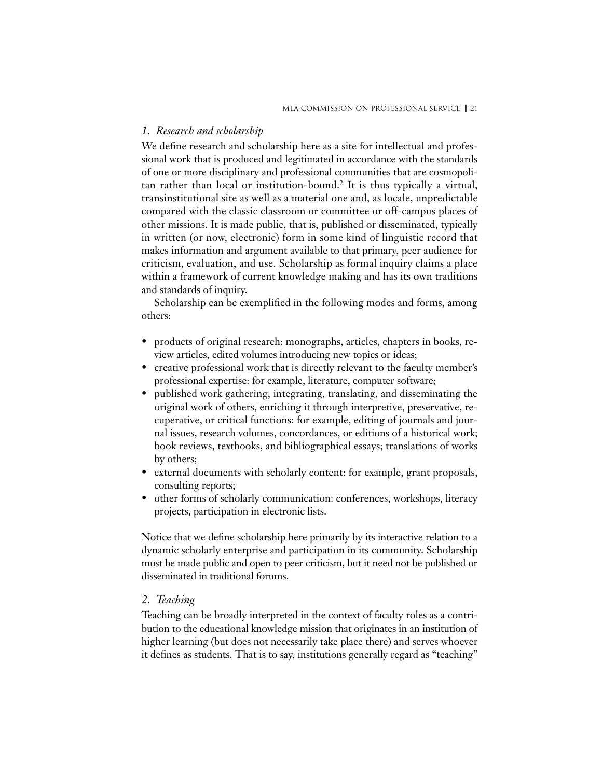# *1. Research and scholarship*

We define research and scholarship here as a site for intellectual and professional work that is produced and legitimated in accordance with the standards of one or more disciplinary and professional communities that are cosmopolitan rather than local or institution-bound.2 It is thus typically a virtual, transinstitutional site as well as a material one and, as locale, unpredictable compared with the classic classroom or committee or off-campus places of other missions. It is made public, that is, published or disseminated, typically in written (or now, electronic) form in some kind of linguistic record that makes information and argument available to that primary, peer audience for criticism, evaluation, and use. Scholarship as formal inquiry claims a place within a framework of current knowledge making and has its own traditions and standards of inquiry.

Scholarship can be exemplified in the following modes and forms, among others:

- products of original research: monographs, articles, chapters in books, review articles, edited volumes introducing new topics or ideas;
- creative professional work that is directly relevant to the faculty member's professional expertise: for example, literature, computer software;
- published work gathering, integrating, translating, and disseminating the original work of others, enriching it through interpretive, preservative, recuperative, or critical functions: for example, editing of journals and journal issues, research volumes, concordances, or editions of a historical work; book reviews, textbooks, and bibliographical essays; translations of works by others;
- external documents with scholarly content: for example, grant proposals, consulting reports;
- other forms of scholarly communication: conferences, workshops, literacy projects, participation in electronic lists.

Notice that we define scholarship here primarily by its interactive relation to a dynamic scholarly enterprise and participation in its community. Scholarship must be made public and open to peer criticism, but it need not be published or disseminated in traditional forums.

# *2. Teaching*

Teaching can be broadly interpreted in the context of faculty roles as a contribution to the educational knowledge mission that originates in an institution of higher learning (but does not necessarily take place there) and serves whoever it defines as students. That is to say, institutions generally regard as "teaching"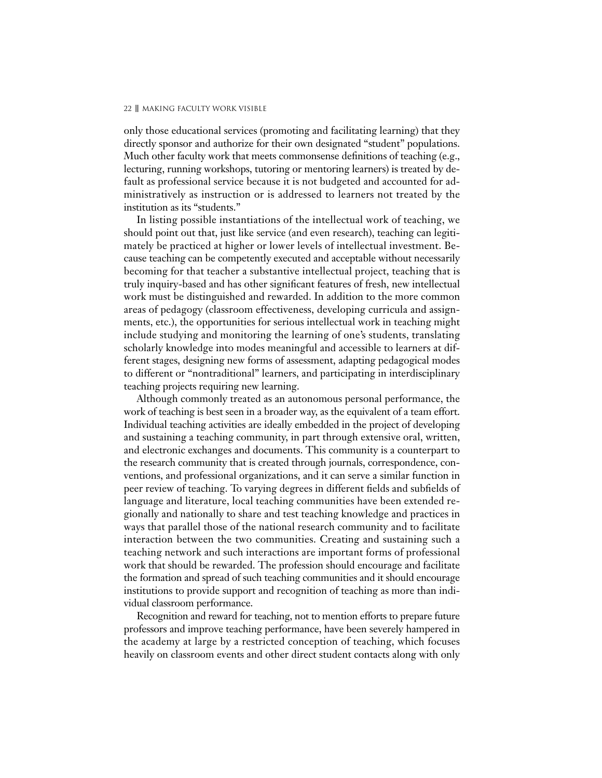only those educational services (promoting and facilitating learning) that they directly sponsor and authorize for their own designated "student" populations. Much other faculty work that meets commonsense definitions of teaching (e.g., lecturing, running workshops, tutoring or mentoring learners) is treated by default as professional service because it is not budgeted and accounted for administratively as instruction or is addressed to learners not treated by the institution as its "students."

In listing possible instantiations of the intellectual work of teaching, we should point out that, just like service (and even research), teaching can legitimately be practiced at higher or lower levels of intellectual investment. Because teaching can be competently executed and acceptable without necessarily becoming for that teacher a substantive intellectual project, teaching that is truly inquiry-based and has other significant features of fresh, new intellectual work must be distinguished and rewarded. In addition to the more common areas of pedagogy (classroom effectiveness, developing curricula and assignments, etc.), the opportunities for serious intellectual work in teaching might include studying and monitoring the learning of one's students, translating scholarly knowledge into modes meaningful and accessible to learners at different stages, designing new forms of assessment, adapting pedagogical modes to different or "nontraditional" learners, and participating in interdisciplinary teaching projects requiring new learning.

Although commonly treated as an autonomous personal performance, the work of teaching is best seen in a broader way, as the equivalent of a team effort. Individual teaching activities are ideally embedded in the project of developing and sustaining a teaching community, in part through extensive oral, written, and electronic exchanges and documents. This community is a counterpart to the research community that is created through journals, correspondence, conventions, and professional organizations, and it can serve a similar function in peer review of teaching. To varying degrees in different fields and subfields of language and literature, local teaching communities have been extended regionally and nationally to share and test teaching knowledge and practices in ways that parallel those of the national research community and to facilitate interaction between the two communities. Creating and sustaining such a teaching network and such interactions are important forms of professional work that should be rewarded. The profession should encourage and facilitate the formation and spread of such teaching communities and it should encourage institutions to provide support and recognition of teaching as more than individual classroom performance.

Recognition and reward for teaching, not to mention efforts to prepare future professors and improve teaching performance, have been severely hampered in the academy at large by a restricted conception of teaching, which focuses heavily on classroom events and other direct student contacts along with only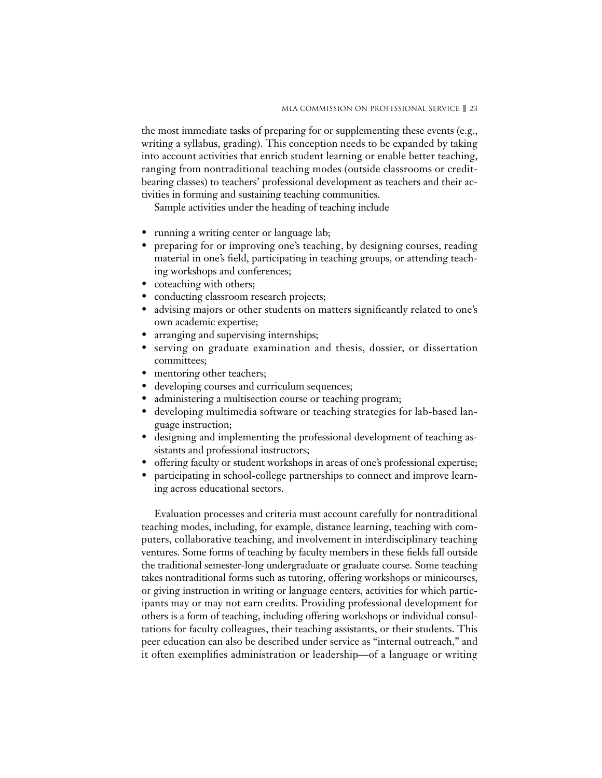the most immediate tasks of preparing for or supplementing these events (e.g., writing a syllabus, grading). This conception needs to be expanded by taking into account activities that enrich student learning or enable better teaching, ranging from nontraditional teaching modes (outside classrooms or creditbearing classes) to teachers' professional development as teachers and their activities in forming and sustaining teaching communities.

Sample activities under the heading of teaching include

- running a writing center or language lab;
- preparing for or improving one's teaching, by designing courses, reading material in one's field, participating in teaching groups, or attending teaching workshops and conferences;
- coteaching with others;
- conducting classroom research projects;
- advising majors or other students on matters significantly related to one's own academic expertise;
- arranging and supervising internships;
- serving on graduate examination and thesis, dossier, or dissertation committees;
- mentoring other teachers;
- developing courses and curriculum sequences;
- administering a multisection course or teaching program;
- developing multimedia software or teaching strategies for lab-based language instruction;
- designing and implementing the professional development of teaching assistants and professional instructors;
- offering faculty or student workshops in areas of one's professional expertise;
- participating in school-college partnerships to connect and improve learning across educational sectors.

Evaluation processes and criteria must account carefully for nontraditional teaching modes, including, for example, distance learning, teaching with computers, collaborative teaching, and involvement in interdisciplinary teaching ventures. Some forms of teaching by faculty members in these fields fall outside the traditional semester-long undergraduate or graduate course. Some teaching takes nontraditional forms such as tutoring, offering workshops or minicourses, or giving instruction in writing or language centers, activities for which participants may or may not earn credits. Providing professional development for others is a form of teaching, including offering workshops or individual consultations for faculty colleagues, their teaching assistants, or their students. This peer education can also be described under service as "internal outreach," and it often exemplifies administration or leadership—of a language or writing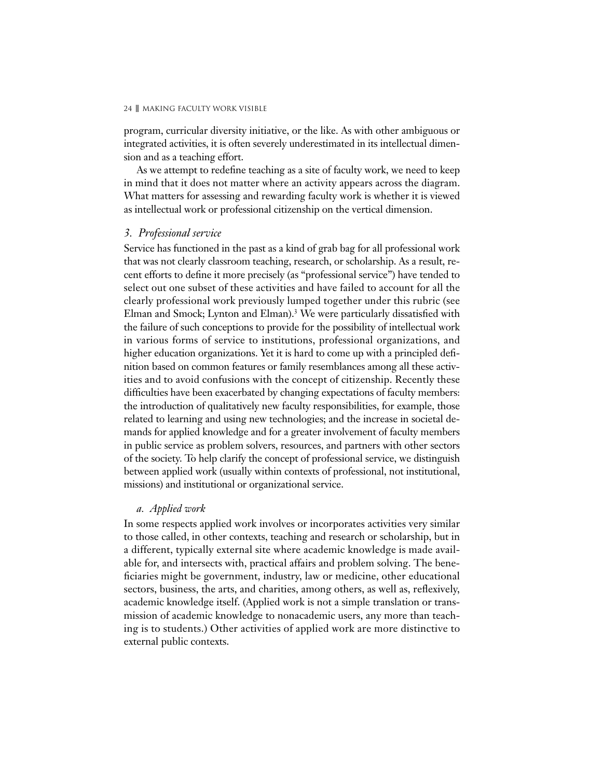program, curricular diversity initiative, or the like. As with other ambiguous or integrated activities, it is often severely underestimated in its intellectual dimension and as a teaching effort.

As we attempt to redefine teaching as a site of faculty work, we need to keep in mind that it does not matter where an activity appears across the diagram. What matters for assessing and rewarding faculty work is whether it is viewed as intellectual work or professional citizenship on the vertical dimension.

# *3. Professional service*

Service has functioned in the past as a kind of grab bag for all professional work that was not clearly classroom teaching, research, or scholarship. As a result, recent efforts to define it more precisely (as "professional service") have tended to select out one subset of these activities and have failed to account for all the clearly professional work previously lumped together under this rubric (see Elman and Smock; Lynton and Elman).<sup>3</sup> We were particularly dissatisfied with the failure of such conceptions to provide for the possibility of intellectual work in various forms of service to institutions, professional organizations, and higher education organizations. Yet it is hard to come up with a principled definition based on common features or family resemblances among all these activities and to avoid confusions with the concept of citizenship. Recently these difficulties have been exacerbated by changing expectations of faculty members: the introduction of qualitatively new faculty responsibilities, for example, those related to learning and using new technologies; and the increase in societal demands for applied knowledge and for a greater involvement of faculty members in public service as problem solvers, resources, and partners with other sectors of the society. To help clarify the concept of professional service, we distinguish between applied work (usually within contexts of professional, not institutional, missions) and institutional or organizational service.

# *a. Applied work*

In some respects applied work involves or incorporates activities very similar to those called, in other contexts, teaching and research or scholarship, but in a different, typically external site where academic knowledge is made available for, and intersects with, practical affairs and problem solving. The beneficiaries might be government, industry, law or medicine, other educational sectors, business, the arts, and charities, among others, as well as, reflexively, academic knowledge itself. (Applied work is not a simple translation or transmission of academic knowledge to nonacademic users, any more than teaching is to students.) Other activities of applied work are more distinctive to external public contexts.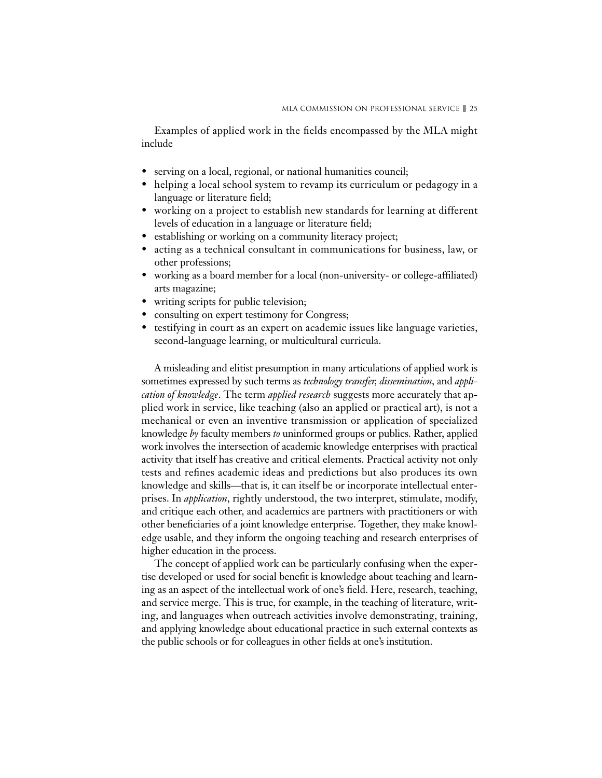Examples of applied work in the fields encompassed by the MLA might include

- serving on a local, regional, or national humanities council;
- helping a local school system to revamp its curriculum or pedagogy in a language or literature field;
- working on a project to establish new standards for learning at different levels of education in a language or literature field;
- establishing or working on a community literacy project;
- acting as a technical consultant in communications for business, law, or other professions;
- working as a board member for a local (non-university- or college-affiliated) arts magazine;
- writing scripts for public television;
- consulting on expert testimony for Congress;
- testifying in court as an expert on academic issues like language varieties, second-language learning, or multicultural curricula.

A misleading and elitist presumption in many articulations of applied work is sometimes expressed by such terms as *technology transfer, dissemination*, and *application of knowledge*. The term *applied research* suggests more accurately that applied work in service, like teaching (also an applied or practical art), is not a mechanical or even an inventive transmission or application of specialized knowledge *by* faculty members *to* uninformed groups or publics. Rather, applied work involves the intersection of academic knowledge enterprises with practical activity that itself has creative and critical elements. Practical activity not only tests and refines academic ideas and predictions but also produces its own knowledge and skills—that is, it can itself be or incorporate intellectual enterprises. In *application*, rightly understood, the two interpret, stimulate, modify, and critique each other, and academics are partners with practitioners or with other beneficiaries of a joint knowledge enterprise. Together, they make knowledge usable, and they inform the ongoing teaching and research enterprises of higher education in the process.

The concept of applied work can be particularly confusing when the expertise developed or used for social benefit is knowledge about teaching and learning as an aspect of the intellectual work of one's field. Here, research, teaching, and service merge. This is true, for example, in the teaching of literature, writing, and languages when outreach activities involve demonstrating, training, and applying knowledge about educational practice in such external contexts as the public schools or for colleagues in other fields at one's institution.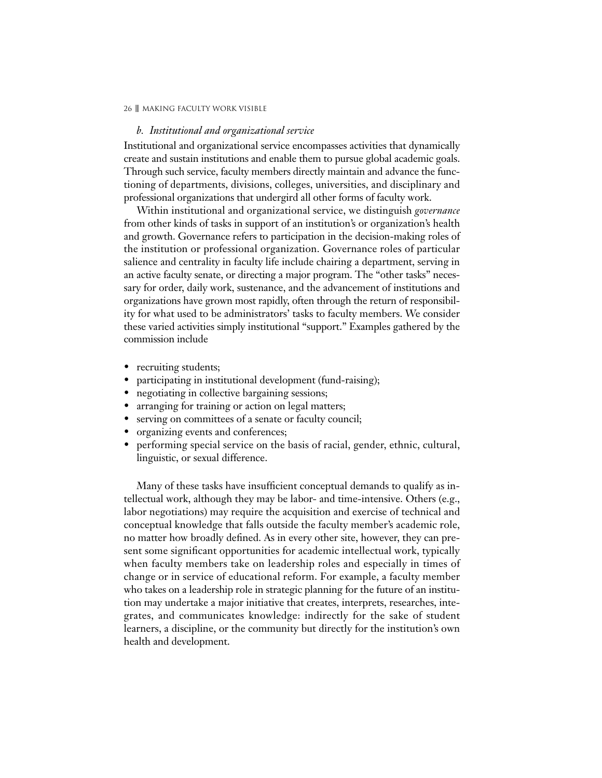### *b. Institutional and organizational service*

Institutional and organizational service encompasses activities that dynamically create and sustain institutions and enable them to pursue global academic goals. Through such service, faculty members directly maintain and advance the functioning of departments, divisions, colleges, universities, and disciplinary and professional organizations that undergird all other forms of faculty work.

Within institutional and organizational service, we distinguish *governance* from other kinds of tasks in support of an institution's or organization's health and growth. Governance refers to participation in the decision-making roles of the institution or professional organization. Governance roles of particular salience and centrality in faculty life include chairing a department, serving in an active faculty senate, or directing a major program. The "other tasks" necessary for order, daily work, sustenance, and the advancement of institutions and organizations have grown most rapidly, often through the return of responsibility for what used to be administrators' tasks to faculty members. We consider these varied activities simply institutional "support." Examples gathered by the commission include

- recruiting students;
- participating in institutional development (fund-raising);
- negotiating in collective bargaining sessions;
- arranging for training or action on legal matters;
- serving on committees of a senate or faculty council;
- organizing events and conferences;
- performing special service on the basis of racial, gender, ethnic, cultural, linguistic, or sexual difference.

Many of these tasks have insufficient conceptual demands to qualify as intellectual work, although they may be labor- and time-intensive. Others (e.g., labor negotiations) may require the acquisition and exercise of technical and conceptual knowledge that falls outside the faculty member's academic role, no matter how broadly defined. As in every other site, however, they can present some significant opportunities for academic intellectual work, typically when faculty members take on leadership roles and especially in times of change or in service of educational reform. For example, a faculty member who takes on a leadership role in strategic planning for the future of an institution may undertake a major initiative that creates, interprets, researches, integrates, and communicates knowledge: indirectly for the sake of student learners, a discipline, or the community but directly for the institution's own health and development.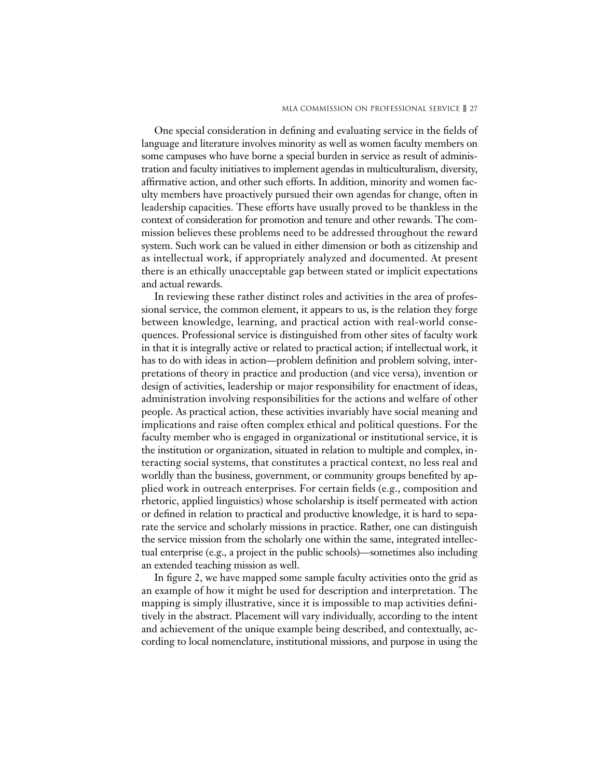One special consideration in defining and evaluating service in the fields of language and literature involves minority as well as women faculty members on some campuses who have borne a special burden in service as result of administration and faculty initiatives to implement agendas in multiculturalism, diversity, affirmative action, and other such efforts. In addition, minority and women faculty members have proactively pursued their own agendas for change, often in leadership capacities. These efforts have usually proved to be thankless in the context of consideration for promotion and tenure and other rewards. The commission believes these problems need to be addressed throughout the reward system. Such work can be valued in either dimension or both as citizenship and as intellectual work, if appropriately analyzed and documented. At present there is an ethically unacceptable gap between stated or implicit expectations and actual rewards.

In reviewing these rather distinct roles and activities in the area of professional service, the common element, it appears to us, is the relation they forge between knowledge, learning, and practical action with real-world consequences. Professional service is distinguished from other sites of faculty work in that it is integrally active or related to practical action; if intellectual work, it has to do with ideas in action—problem definition and problem solving, interpretations of theory in practice and production (and vice versa), invention or design of activities, leadership or major responsibility for enactment of ideas, administration involving responsibilities for the actions and welfare of other people. As practical action, these activities invariably have social meaning and implications and raise often complex ethical and political questions. For the faculty member who is engaged in organizational or institutional service, it is the institution or organization, situated in relation to multiple and complex, interacting social systems, that constitutes a practical context, no less real and worldly than the business, government, or community groups benefited by applied work in outreach enterprises. For certain fields (e.g., composition and rhetoric, applied linguistics) whose scholarship is itself permeated with action or defined in relation to practical and productive knowledge, it is hard to separate the service and scholarly missions in practice. Rather, one can distinguish the service mission from the scholarly one within the same, integrated intellectual enterprise (e.g., a project in the public schools)—sometimes also including an extended teaching mission as well.

In figure 2, we have mapped some sample faculty activities onto the grid as an example of how it might be used for description and interpretation. The mapping is simply illustrative, since it is impossible to map activities definitively in the abstract. Placement will vary individually, according to the intent and achievement of the unique example being described, and contextually, according to local nomenclature, institutional missions, and purpose in using the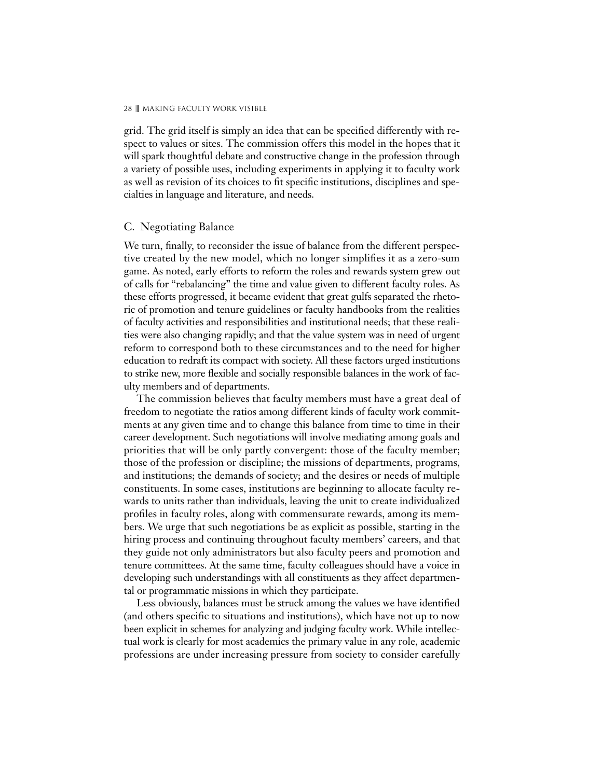grid. The grid itself is simply an idea that can be specified differently with respect to values or sites. The commission offers this model in the hopes that it will spark thoughtful debate and constructive change in the profession through a variety of possible uses, including experiments in applying it to faculty work as well as revision of its choices to fit specific institutions, disciplines and specialties in language and literature, and needs.

### C. Negotiating Balance

We turn, finally, to reconsider the issue of balance from the different perspective created by the new model, which no longer simplifies it as a zero-sum game. As noted, early efforts to reform the roles and rewards system grew out of calls for "rebalancing" the time and value given to different faculty roles. As these efforts progressed, it became evident that great gulfs separated the rhetoric of promotion and tenure guidelines or faculty handbooks from the realities of faculty activities and responsibilities and institutional needs; that these realities were also changing rapidly; and that the value system was in need of urgent reform to correspond both to these circumstances and to the need for higher education to redraft its compact with society. All these factors urged institutions to strike new, more flexible and socially responsible balances in the work of faculty members and of departments.

The commission believes that faculty members must have a great deal of freedom to negotiate the ratios among different kinds of faculty work commitments at any given time and to change this balance from time to time in their career development. Such negotiations will involve mediating among goals and priorities that will be only partly convergent: those of the faculty member; those of the profession or discipline; the missions of departments, programs, and institutions; the demands of society; and the desires or needs of multiple constituents. In some cases, institutions are beginning to allocate faculty rewards to units rather than individuals, leaving the unit to create individualized profiles in faculty roles, along with commensurate rewards, among its members. We urge that such negotiations be as explicit as possible, starting in the hiring process and continuing throughout faculty members' careers, and that they guide not only administrators but also faculty peers and promotion and tenure committees. At the same time, faculty colleagues should have a voice in developing such understandings with all constituents as they affect departmental or programmatic missions in which they participate.

Less obviously, balances must be struck among the values we have identified (and others specific to situations and institutions), which have not up to now been explicit in schemes for analyzing and judging faculty work. While intellectual work is clearly for most academics the primary value in any role, academic professions are under increasing pressure from society to consider carefully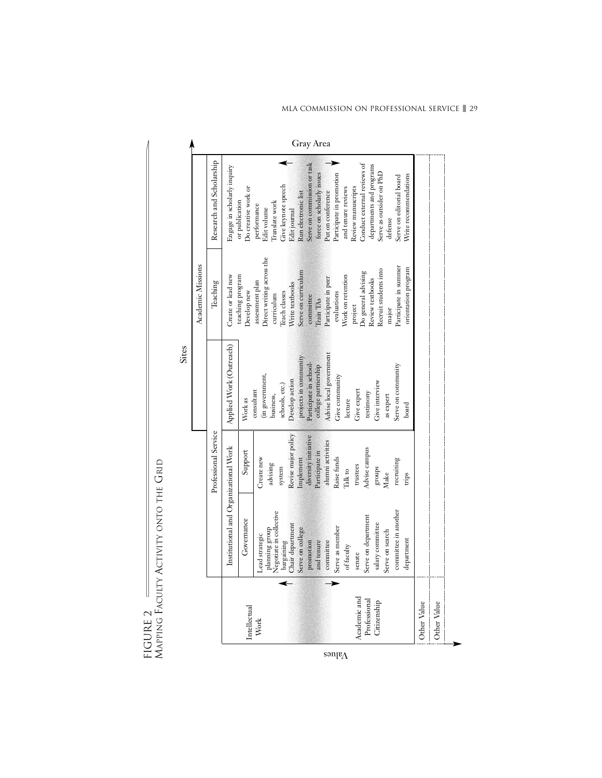FIGURE 2<br>Mapping Faculty Activity onto the Grid MAPPING FACULTY ACTIVITY ONTO THE GRID FIGURE 2

Sites

|                   |                          |                                       |                                       | Gray Area                                                                                                                                                                                                                                                                                                                                                                                                                  |             |             |
|-------------------|--------------------------|---------------------------------------|---------------------------------------|----------------------------------------------------------------------------------------------------------------------------------------------------------------------------------------------------------------------------------------------------------------------------------------------------------------------------------------------------------------------------------------------------------------------------|-------------|-------------|
|                   | Research and Scholarship | Engage in scholarly inquiry           | Do creative work or<br>or publication | Conduct external reviews of<br>Serve on commission or task<br>departments and programs<br>Serve as outsider on PhD<br>Participate in promotion<br>force on scholarly issues<br>Write recommendations<br>Serve on editorial board<br>Give keynote speech<br>Review manuscripts<br>and tenure reviews<br>Put on conference<br>Run electronic list<br>Iranslate work<br>performance<br>Edit volume<br>Edit journal<br>defense |             |             |
| Academic Missions | Teaching                 | Create or lead new                    | teaching program<br>Develop new       | Direct writing across the<br>Participate in summer<br>orientation program<br>Recruit students into<br>Serve on curriculum<br>Do general advising<br>Work on retention<br>Participate in peer<br>Review textbooks<br>assessment plan<br>Write textbooks<br><b>Teach</b> classes<br>evaluations<br>curriculum<br>committee<br><b>Train TAs</b><br>project<br>major                                                           |             |             |
|                   |                          | Applied Work (Outreach)               | Work as                               | Advise local government<br>projects in community<br>Participate in school-<br>college partnership<br>Serve on community<br>(in government,<br>Give community<br>Develop action<br>Give interview<br>schools, etc.)<br>consultant<br>Give expert<br>testimony<br>business,<br>as expert<br>lecture<br>board                                                                                                                 |             |             |
|                   | Professional Service     |                                       | Support                               | Revise major policy<br>diversity initiative<br>alumni activities<br>Advise campus<br>Participate in<br>Implement<br>Raise funds<br>Create new<br>recruiting<br>advising<br>trustees<br><i>groups</i><br>system<br>Talk to<br>Make<br>trips                                                                                                                                                                                 |             |             |
|                   |                          | Institutional and Organizational Work | Governance                            | committee in another<br>planning group<br>Negotiate in collective<br>Serve on department<br>salary committee<br>Chair department<br>Serve as member<br>Serve on college<br>Serve on search<br>Lead strategic<br>department<br>bargaining<br>and tenure<br>promotion<br>committee<br>of faculty<br>senate                                                                                                                   |             |             |
|                   |                          |                                       | Intellectual                          | Academic and<br>Professional<br>Citizenship<br>Work                                                                                                                                                                                                                                                                                                                                                                        | Other Value | Other Value |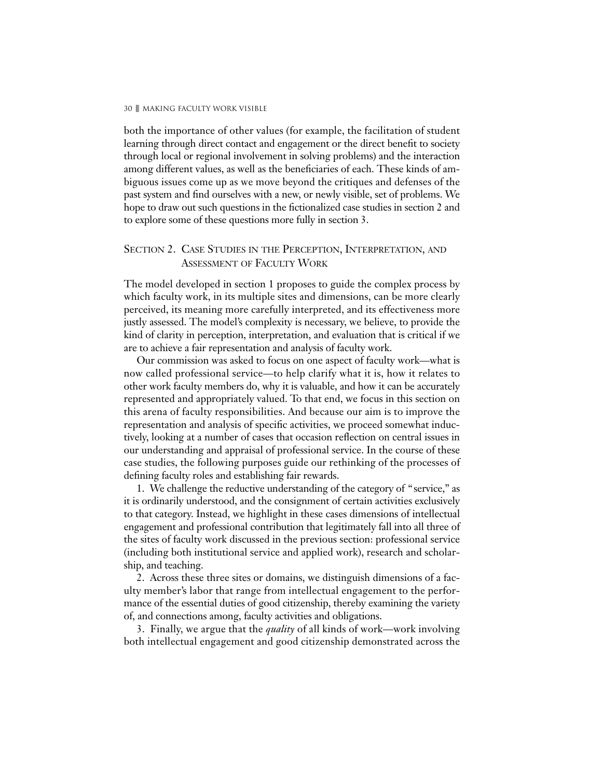both the importance of other values (for example, the facilitation of student learning through direct contact and engagement or the direct benefit to society through local or regional involvement in solving problems) and the interaction among different values, as well as the beneficiaries of each. These kinds of ambiguous issues come up as we move beyond the critiques and defenses of the past system and find ourselves with a new, or newly visible, set of problems. We hope to draw out such questions in the fictionalized case studies in section 2 and to explore some of these questions more fully in section 3.

# SECTION 2. CASE STUDIES IN THE PERCEPTION, INTERPRETATION, AND ASSESSMENT OF FACULTY WORK

The model developed in section 1 proposes to guide the complex process by which faculty work, in its multiple sites and dimensions, can be more clearly perceived, its meaning more carefully interpreted, and its effectiveness more justly assessed. The model's complexity is necessary, we believe, to provide the kind of clarity in perception, interpretation, and evaluation that is critical if we are to achieve a fair representation and analysis of faculty work.

Our commission was asked to focus on one aspect of faculty work—what is now called professional service—to help clarify what it is, how it relates to other work faculty members do, why it is valuable, and how it can be accurately represented and appropriately valued. To that end, we focus in this section on this arena of faculty responsibilities. And because our aim is to improve the representation and analysis of specific activities, we proceed somewhat inductively, looking at a number of cases that occasion reflection on central issues in our understanding and appraisal of professional service. In the course of these case studies, the following purposes guide our rethinking of the processes of defining faculty roles and establishing fair rewards.

1. We challenge the reductive understanding of the category of "service," as it is ordinarily understood, and the consignment of certain activities exclusively to that category. Instead, we highlight in these cases dimensions of intellectual engagement and professional contribution that legitimately fall into all three of the sites of faculty work discussed in the previous section: professional service (including both institutional service and applied work), research and scholarship, and teaching.

2. Across these three sites or domains, we distinguish dimensions of a faculty member's labor that range from intellectual engagement to the performance of the essential duties of good citizenship, thereby examining the variety of, and connections among, faculty activities and obligations.

3. Finally, we argue that the *quality* of all kinds of work—work involving both intellectual engagement and good citizenship demonstrated across the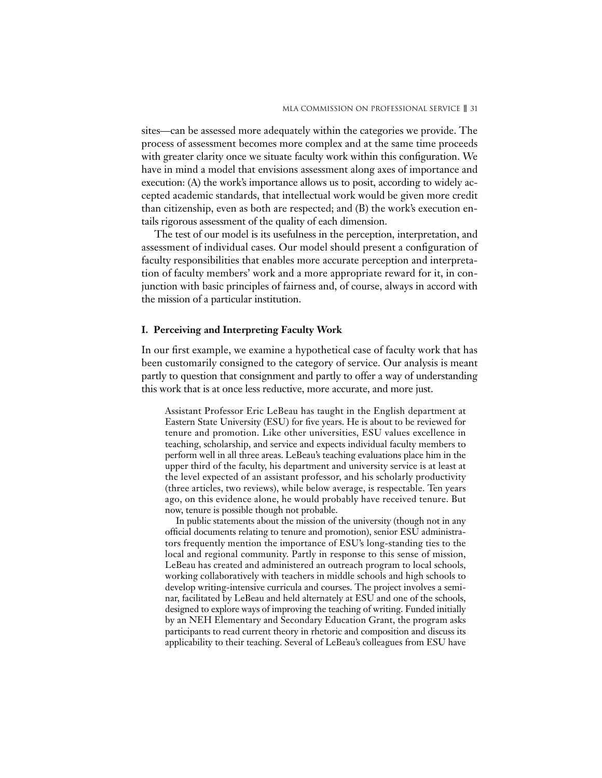sites—can be assessed more adequately within the categories we provide. The process of assessment becomes more complex and at the same time proceeds with greater clarity once we situate faculty work within this configuration. We have in mind a model that envisions assessment along axes of importance and execution: (A) the work's importance allows us to posit, according to widely accepted academic standards, that intellectual work would be given more credit than citizenship, even as both are respected; and (B) the work's execution entails rigorous assessment of the quality of each dimension.

The test of our model is its usefulness in the perception, interpretation, and assessment of individual cases. Our model should present a configuration of faculty responsibilities that enables more accurate perception and interpretation of faculty members' work and a more appropriate reward for it, in conjunction with basic principles of fairness and, of course, always in accord with the mission of a particular institution.

#### **I. Perceiving and Interpreting Faculty Work**

In our first example, we examine a hypothetical case of faculty work that has been customarily consigned to the category of service. Our analysis is meant partly to question that consignment and partly to offer a way of understanding this work that is at once less reductive, more accurate, and more just.

Assistant Professor Eric LeBeau has taught in the English department at Eastern State University (ESU) for five years. He is about to be reviewed for tenure and promotion. Like other universities, ESU values excellence in teaching, scholarship, and service and expects individual faculty members to perform well in all three areas. LeBeau's teaching evaluations place him in the upper third of the faculty, his department and university service is at least at the level expected of an assistant professor, and his scholarly productivity (three articles, two reviews), while below average, is respectable. Ten years ago, on this evidence alone, he would probably have received tenure. But now, tenure is possible though not probable.

In public statements about the mission of the university (though not in any official documents relating to tenure and promotion), senior ESU administrators frequently mention the importance of ESU's long-standing ties to the local and regional community. Partly in response to this sense of mission, LeBeau has created and administered an outreach program to local schools, working collaboratively with teachers in middle schools and high schools to develop writing-intensive curricula and courses. The project involves a seminar, facilitated by LeBeau and held alternately at ESU and one of the schools, designed to explore ways of improving the teaching of writing. Funded initially by an NEH Elementary and Secondary Education Grant, the program asks participants to read current theory in rhetoric and composition and discuss its applicability to their teaching. Several of LeBeau's colleagues from ESU have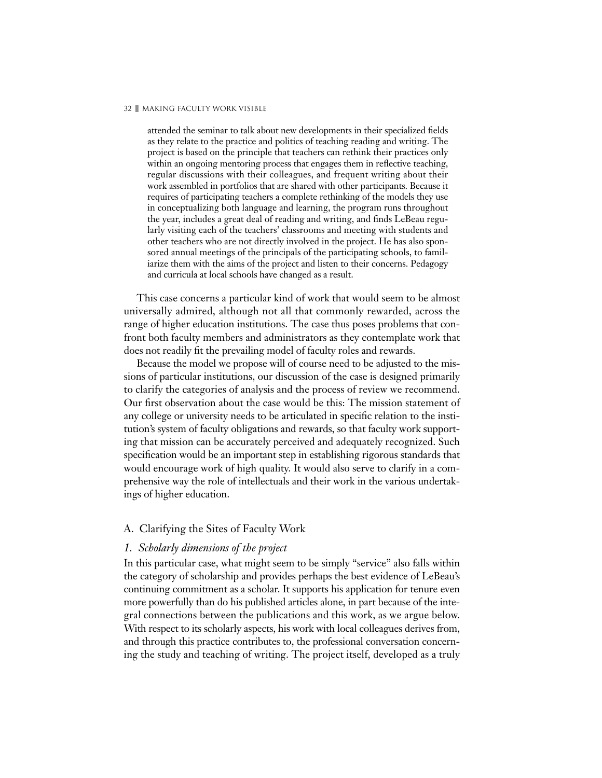#### 32 ||| making Faculty Work Visible

attended the seminar to talk about new developments in their specialized fields as they relate to the practice and politics of teaching reading and writing. The project is based on the principle that teachers can rethink their practices only within an ongoing mentoring process that engages them in reflective teaching, regular discussions with their colleagues, and frequent writing about their work assembled in portfolios that are shared with other participants. Because it requires of participating teachers a complete rethinking of the models they use in conceptualizing both language and learning, the program runs throughout the year, includes a great deal of reading and writing, and finds LeBeau regularly visiting each of the teachers' classrooms and meeting with students and other teachers who are not directly involved in the project. He has also sponsored annual meetings of the principals of the participating schools, to familiarize them with the aims of the project and listen to their concerns. Pedagogy and curricula at local schools have changed as a result.

This case concerns a particular kind of work that would seem to be almost universally admired, although not all that commonly rewarded, across the range of higher education institutions. The case thus poses problems that confront both faculty members and administrators as they contemplate work that does not readily fit the prevailing model of faculty roles and rewards.

Because the model we propose will of course need to be adjusted to the missions of particular institutions, our discussion of the case is designed primarily to clarify the categories of analysis and the process of review we recommend. Our first observation about the case would be this: The mission statement of any college or university needs to be articulated in specific relation to the institution's system of faculty obligations and rewards, so that faculty work supporting that mission can be accurately perceived and adequately recognized. Such specification would be an important step in establishing rigorous standards that would encourage work of high quality. It would also serve to clarify in a comprehensive way the role of intellectuals and their work in the various undertakings of higher education.

### A. Clarifying the Sites of Faculty Work

## *1. Scholarly dimensions of the project*

In this particular case, what might seem to be simply "service" also falls within the category of scholarship and provides perhaps the best evidence of LeBeau's continuing commitment as a scholar. It supports his application for tenure even more powerfully than do his published articles alone, in part because of the integral connections between the publications and this work, as we argue below. With respect to its scholarly aspects, his work with local colleagues derives from, and through this practice contributes to, the professional conversation concerning the study and teaching of writing. The project itself, developed as a truly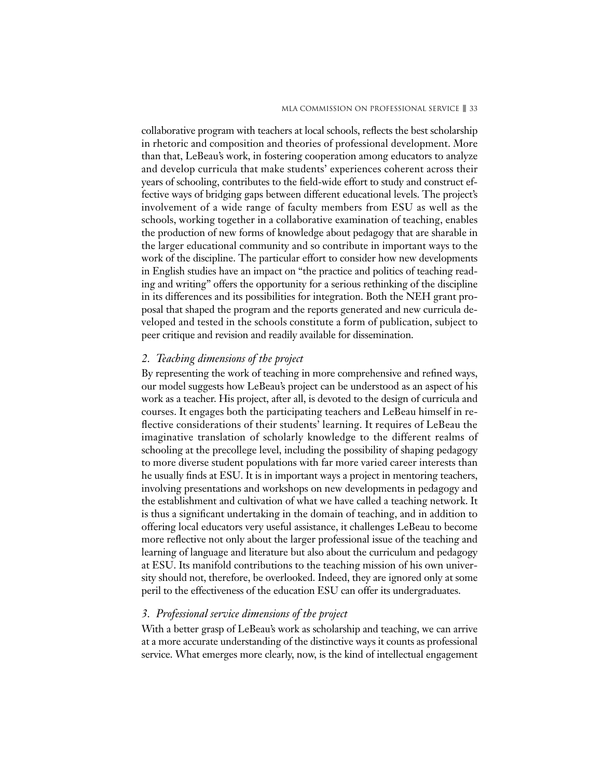collaborative program with teachers at local schools, reflects the best scholarship in rhetoric and composition and theories of professional development. More than that, LeBeau's work, in fostering cooperation among educators to analyze and develop curricula that make students' experiences coherent across their years of schooling, contributes to the field-wide effort to study and construct effective ways of bridging gaps between different educational levels. The project's involvement of a wide range of faculty members from ESU as well as the schools, working together in a collaborative examination of teaching, enables the production of new forms of knowledge about pedagogy that are sharable in the larger educational community and so contribute in important ways to the work of the discipline. The particular effort to consider how new developments in English studies have an impact on "the practice and politics of teaching reading and writing" offers the opportunity for a serious rethinking of the discipline in its differences and its possibilities for integration. Both the NEH grant proposal that shaped the program and the reports generated and new curricula developed and tested in the schools constitute a form of publication, subject to peer critique and revision and readily available for dissemination.

# *2. Teaching dimensions of the project*

By representing the work of teaching in more comprehensive and refined ways, our model suggests how LeBeau's project can be understood as an aspect of his work as a teacher. His project, after all, is devoted to the design of curricula and courses. It engages both the participating teachers and LeBeau himself in reflective considerations of their students' learning. It requires of LeBeau the imaginative translation of scholarly knowledge to the different realms of schooling at the precollege level, including the possibility of shaping pedagogy to more diverse student populations with far more varied career interests than he usually finds at ESU. It is in important ways a project in mentoring teachers, involving presentations and workshops on new developments in pedagogy and the establishment and cultivation of what we have called a teaching network. It is thus a significant undertaking in the domain of teaching, and in addition to offering local educators very useful assistance, it challenges LeBeau to become more reflective not only about the larger professional issue of the teaching and learning of language and literature but also about the curriculum and pedagogy at ESU. Its manifold contributions to the teaching mission of his own university should not, therefore, be overlooked. Indeed, they are ignored only at some peril to the effectiveness of the education ESU can offer its undergraduates.

# *3. Professional service dimensions of the project*

With a better grasp of LeBeau's work as scholarship and teaching, we can arrive at a more accurate understanding of the distinctive ways it counts as professional service. What emerges more clearly, now, is the kind of intellectual engagement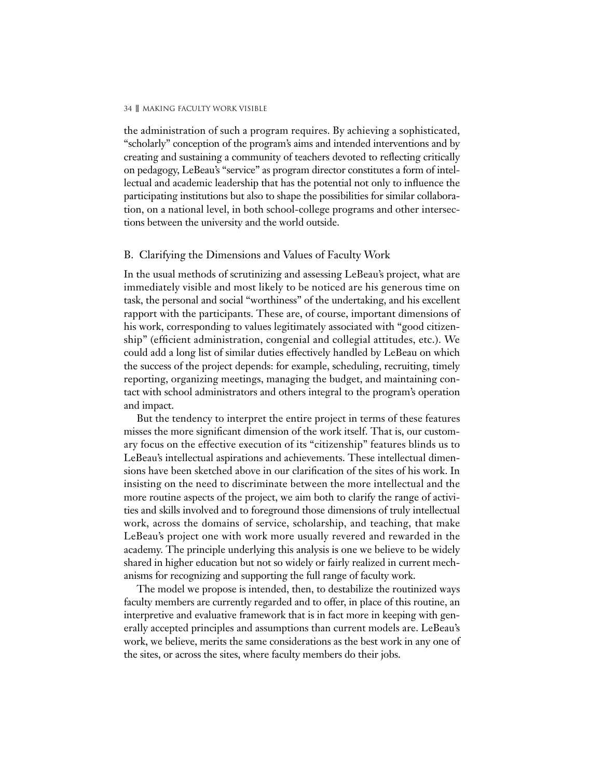the administration of such a program requires. By achieving a sophisticated, "scholarly" conception of the program's aims and intended interventions and by creating and sustaining a community of teachers devoted to reflecting critically on pedagogy, LeBeau's "service" as program director constitutes a form of intellectual and academic leadership that has the potential not only to influence the participating institutions but also to shape the possibilities for similar collaboration, on a national level, in both school-college programs and other intersections between the university and the world outside.

## B. Clarifying the Dimensions and Values of Faculty Work

In the usual methods of scrutinizing and assessing LeBeau's project, what are immediately visible and most likely to be noticed are his generous time on task, the personal and social "worthiness" of the undertaking, and his excellent rapport with the participants. These are, of course, important dimensions of his work, corresponding to values legitimately associated with "good citizenship" (efficient administration, congenial and collegial attitudes, etc.). We could add a long list of similar duties effectively handled by LeBeau on which the success of the project depends: for example, scheduling, recruiting, timely reporting, organizing meetings, managing the budget, and maintaining contact with school administrators and others integral to the program's operation and impact.

But the tendency to interpret the entire project in terms of these features misses the more significant dimension of the work itself. That is, our customary focus on the effective execution of its "citizenship" features blinds us to LeBeau's intellectual aspirations and achievements. These intellectual dimensions have been sketched above in our clarification of the sites of his work. In insisting on the need to discriminate between the more intellectual and the more routine aspects of the project, we aim both to clarify the range of activities and skills involved and to foreground those dimensions of truly intellectual work, across the domains of service, scholarship, and teaching, that make LeBeau's project one with work more usually revered and rewarded in the academy. The principle underlying this analysis is one we believe to be widely shared in higher education but not so widely or fairly realized in current mechanisms for recognizing and supporting the full range of faculty work.

The model we propose is intended, then, to destabilize the routinized ways faculty members are currently regarded and to offer, in place of this routine, an interpretive and evaluative framework that is in fact more in keeping with generally accepted principles and assumptions than current models are. LeBeau's work, we believe, merits the same considerations as the best work in any one of the sites, or across the sites, where faculty members do their jobs.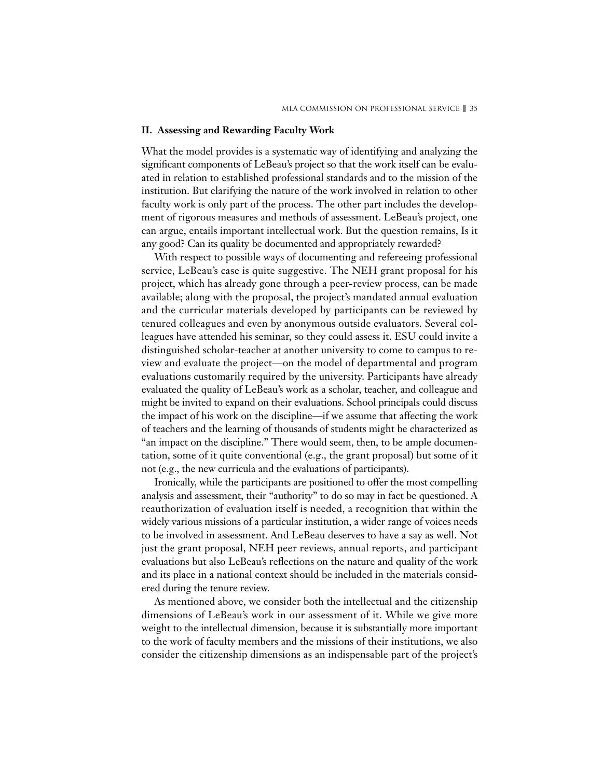### **II. Assessing and Rewarding Faculty Work**

What the model provides is a systematic way of identifying and analyzing the significant components of LeBeau's project so that the work itself can be evaluated in relation to established professional standards and to the mission of the institution. But clarifying the nature of the work involved in relation to other faculty work is only part of the process. The other part includes the development of rigorous measures and methods of assessment. LeBeau's project, one can argue, entails important intellectual work. But the question remains, Is it any good? Can its quality be documented and appropriately rewarded?

With respect to possible ways of documenting and refereeing professional service, LeBeau's case is quite suggestive. The NEH grant proposal for his project, which has already gone through a peer-review process, can be made available; along with the proposal, the project's mandated annual evaluation and the curricular materials developed by participants can be reviewed by tenured colleagues and even by anonymous outside evaluators. Several colleagues have attended his seminar, so they could assess it. ESU could invite a distinguished scholar-teacher at another university to come to campus to review and evaluate the project—on the model of departmental and program evaluations customarily required by the university. Participants have already evaluated the quality of LeBeau's work as a scholar, teacher, and colleague and might be invited to expand on their evaluations. School principals could discuss the impact of his work on the discipline—if we assume that affecting the work of teachers and the learning of thousands of students might be characterized as "an impact on the discipline." There would seem, then, to be ample documentation, some of it quite conventional (e.g., the grant proposal) but some of it not (e.g., the new curricula and the evaluations of participants).

Ironically, while the participants are positioned to offer the most compelling analysis and assessment, their "authority" to do so may in fact be questioned. A reauthorization of evaluation itself is needed, a recognition that within the widely various missions of a particular institution, a wider range of voices needs to be involved in assessment. And LeBeau deserves to have a say as well. Not just the grant proposal, NEH peer reviews, annual reports, and participant evaluations but also LeBeau's reflections on the nature and quality of the work and its place in a national context should be included in the materials considered during the tenure review.

As mentioned above, we consider both the intellectual and the citizenship dimensions of LeBeau's work in our assessment of it. While we give more weight to the intellectual dimension, because it is substantially more important to the work of faculty members and the missions of their institutions, we also consider the citizenship dimensions as an indispensable part of the project's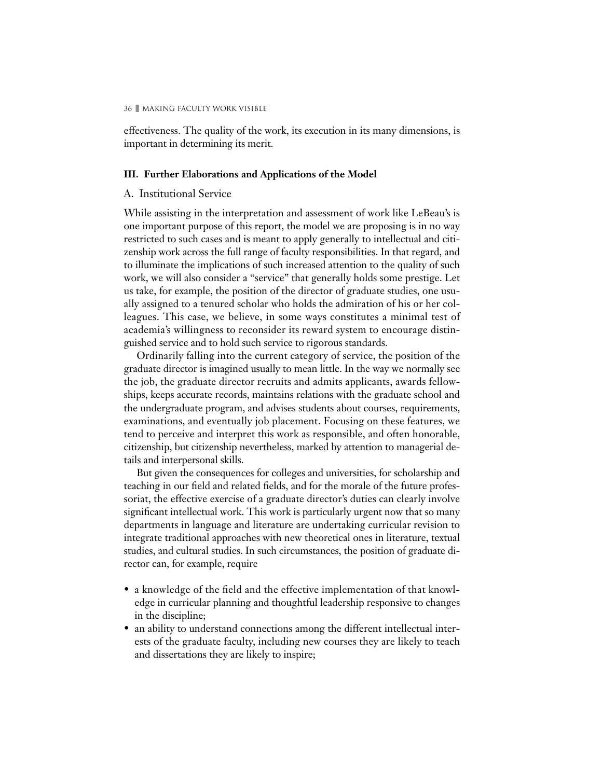effectiveness. The quality of the work, its execution in its many dimensions, is important in determining its merit.

# **III. Further Elaborations and Applications of the Model**

# A. Institutional Service

While assisting in the interpretation and assessment of work like LeBeau's is one important purpose of this report, the model we are proposing is in no way restricted to such cases and is meant to apply generally to intellectual and citizenship work across the full range of faculty responsibilities. In that regard, and to illuminate the implications of such increased attention to the quality of such work, we will also consider a "service" that generally holds some prestige. Let us take, for example, the position of the director of graduate studies, one usually assigned to a tenured scholar who holds the admiration of his or her colleagues. This case, we believe, in some ways constitutes a minimal test of academia's willingness to reconsider its reward system to encourage distinguished service and to hold such service to rigorous standards.

Ordinarily falling into the current category of service, the position of the graduate director is imagined usually to mean little. In the way we normally see the job, the graduate director recruits and admits applicants, awards fellowships, keeps accurate records, maintains relations with the graduate school and the undergraduate program, and advises students about courses, requirements, examinations, and eventually job placement. Focusing on these features, we tend to perceive and interpret this work as responsible, and often honorable, citizenship, but citizenship nevertheless, marked by attention to managerial details and interpersonal skills.

But given the consequences for colleges and universities, for scholarship and teaching in our field and related fields, and for the morale of the future professoriat, the effective exercise of a graduate director's duties can clearly involve significant intellectual work. This work is particularly urgent now that so many departments in language and literature are undertaking curricular revision to integrate traditional approaches with new theoretical ones in literature, textual studies, and cultural studies. In such circumstances, the position of graduate director can, for example, require

- a knowledge of the field and the effective implementation of that knowledge in curricular planning and thoughtful leadership responsive to changes in the discipline;
- an ability to understand connections among the different intellectual interests of the graduate faculty, including new courses they are likely to teach and dissertations they are likely to inspire;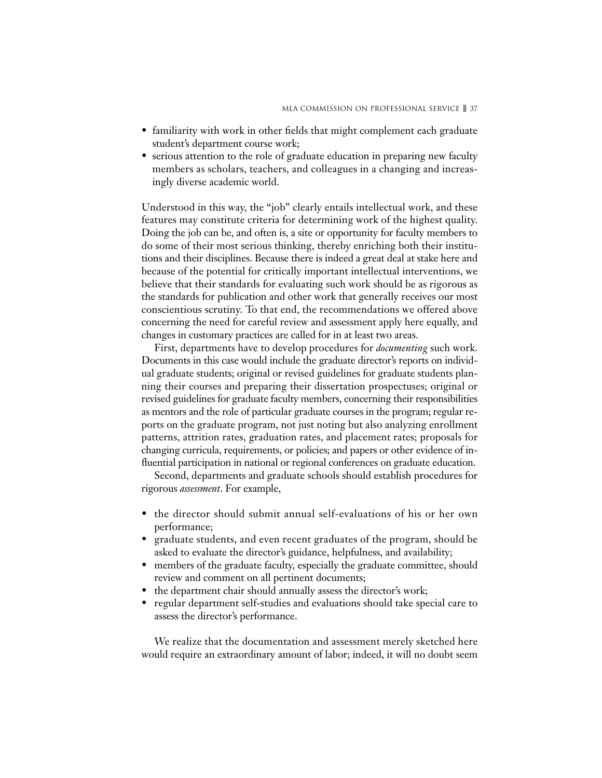- familiarity with work in other fields that might complement each graduate student's department course work;
- serious attention to the role of graduate education in preparing new faculty members as scholars, teachers, and colleagues in a changing and increasingly diverse academic world.

Understood in this way, the "job" clearly entails intellectual work, and these features may constitute criteria for determining work of the highest quality. Doing the job can be, and often is, a site or opportunity for faculty members to do some of their most serious thinking, thereby enriching both their institutions and their disciplines. Because there is indeed a great deal at stake here and because of the potential for critically important intellectual interventions, we believe that their standards for evaluating such work should be as rigorous as the standards for publication and other work that generally receives our most conscientious scrutiny. To that end, the recommendations we offered above concerning the need for careful review and assessment apply here equally, and changes in customary practices are called for in at least two areas.

First, departments have to develop procedures for *documenting* such work. Documents in this case would include the graduate director's reports on individual graduate students; original or revised guidelines for graduate students planning their courses and preparing their dissertation prospectuses; original or revised guidelines for graduate faculty members, concerning their responsibilities as mentors and the role of particular graduate courses in the program; regular reports on the graduate program, not just noting but also analyzing enrollment patterns, attrition rates, graduation rates, and placement rates; proposals for changing curricula, requirements, or policies; and papers or other evidence of influential participation in national or regional conferences on graduate education.

Second, departments and graduate schools should establish procedures for rigorous *assessment*. For example,

- the director should submit annual self-evaluations of his or her own performance;
- graduate students, and even recent graduates of the program, should be asked to evaluate the director's guidance, helpfulness, and availability;
- members of the graduate faculty, especially the graduate committee, should review and comment on all pertinent documents;
- the department chair should annually assess the director's work;
- regular department self-studies and evaluations should take special care to assess the director's performance.

We realize that the documentation and assessment merely sketched here would require an extraordinary amount of labor; indeed, it will no doubt seem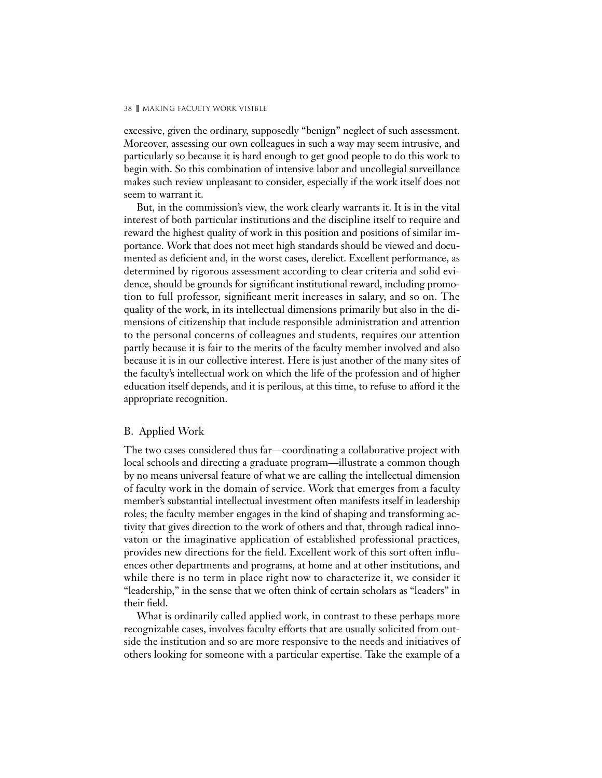excessive, given the ordinary, supposedly "benign" neglect of such assessment. Moreover, assessing our own colleagues in such a way may seem intrusive, and particularly so because it is hard enough to get good people to do this work to begin with. So this combination of intensive labor and uncollegial surveillance makes such review unpleasant to consider, especially if the work itself does not seem to warrant it.

But, in the commission's view, the work clearly warrants it. It is in the vital interest of both particular institutions and the discipline itself to require and reward the highest quality of work in this position and positions of similar importance. Work that does not meet high standards should be viewed and documented as deficient and, in the worst cases, derelict. Excellent performance, as determined by rigorous assessment according to clear criteria and solid evidence, should be grounds for significant institutional reward, including promotion to full professor, significant merit increases in salary, and so on. The quality of the work, in its intellectual dimensions primarily but also in the dimensions of citizenship that include responsible administration and attention to the personal concerns of colleagues and students, requires our attention partly because it is fair to the merits of the faculty member involved and also because it is in our collective interest. Here is just another of the many sites of the faculty's intellectual work on which the life of the profession and of higher education itself depends, and it is perilous, at this time, to refuse to afford it the appropriate recognition.

## B. Applied Work

The two cases considered thus far—coordinating a collaborative project with local schools and directing a graduate program—illustrate a common though by no means universal feature of what we are calling the intellectual dimension of faculty work in the domain of service. Work that emerges from a faculty member's substantial intellectual investment often manifests itself in leadership roles; the faculty member engages in the kind of shaping and transforming activity that gives direction to the work of others and that, through radical innovaton or the imaginative application of established professional practices, provides new directions for the field. Excellent work of this sort often influences other departments and programs, at home and at other institutions, and while there is no term in place right now to characterize it, we consider it "leadership," in the sense that we often think of certain scholars as "leaders" in their field.

What is ordinarily called applied work, in contrast to these perhaps more recognizable cases, involves faculty efforts that are usually solicited from outside the institution and so are more responsive to the needs and initiatives of others looking for someone with a particular expertise. Take the example of a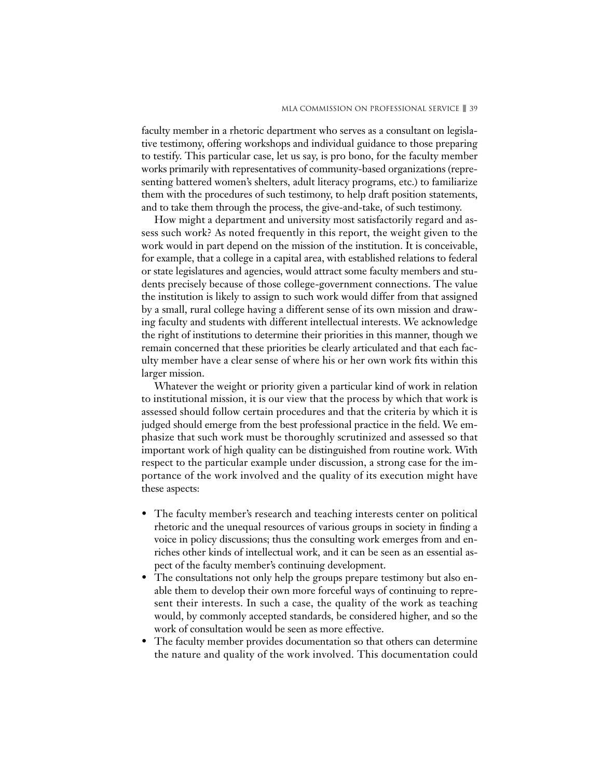faculty member in a rhetoric department who serves as a consultant on legislative testimony, offering workshops and individual guidance to those preparing to testify. This particular case, let us say, is pro bono, for the faculty member works primarily with representatives of community-based organizations (representing battered women's shelters, adult literacy programs, etc.) to familiarize them with the procedures of such testimony, to help draft position statements, and to take them through the process, the give-and-take, of such testimony.

How might a department and university most satisfactorily regard and assess such work? As noted frequently in this report, the weight given to the work would in part depend on the mission of the institution. It is conceivable, for example, that a college in a capital area, with established relations to federal or state legislatures and agencies, would attract some faculty members and students precisely because of those college-government connections. The value the institution is likely to assign to such work would differ from that assigned by a small, rural college having a different sense of its own mission and drawing faculty and students with different intellectual interests. We acknowledge the right of institutions to determine their priorities in this manner, though we remain concerned that these priorities be clearly articulated and that each faculty member have a clear sense of where his or her own work fits within this larger mission.

Whatever the weight or priority given a particular kind of work in relation to institutional mission, it is our view that the process by which that work is assessed should follow certain procedures and that the criteria by which it is judged should emerge from the best professional practice in the field. We emphasize that such work must be thoroughly scrutinized and assessed so that important work of high quality can be distinguished from routine work. With respect to the particular example under discussion, a strong case for the importance of the work involved and the quality of its execution might have these aspects:

- The faculty member's research and teaching interests center on political rhetoric and the unequal resources of various groups in society in finding a voice in policy discussions; thus the consulting work emerges from and enriches other kinds of intellectual work, and it can be seen as an essential aspect of the faculty member's continuing development.
- The consultations not only help the groups prepare testimony but also enable them to develop their own more forceful ways of continuing to represent their interests. In such a case, the quality of the work as teaching would, by commonly accepted standards, be considered higher, and so the work of consultation would be seen as more effective.
- The faculty member provides documentation so that others can determine the nature and quality of the work involved. This documentation could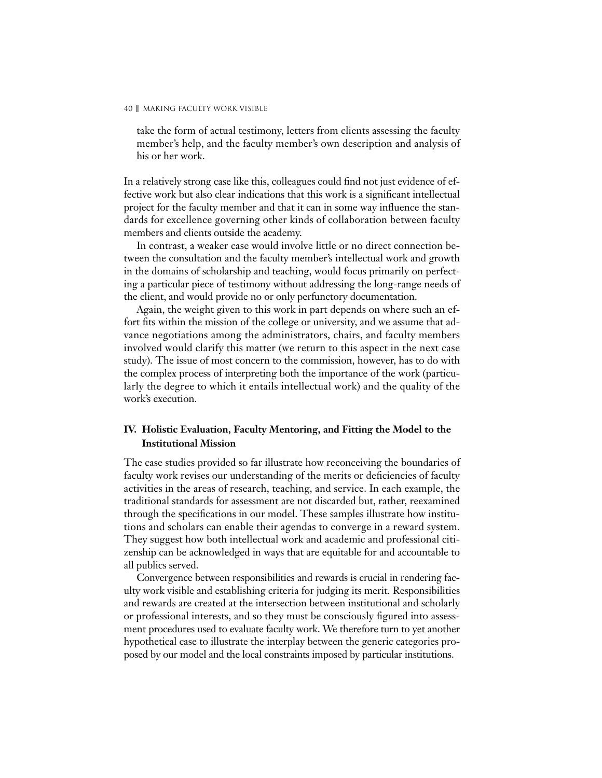take the form of actual testimony, letters from clients assessing the faculty member's help, and the faculty member's own description and analysis of his or her work.

In a relatively strong case like this, colleagues could find not just evidence of effective work but also clear indications that this work is a significant intellectual project for the faculty member and that it can in some way influence the standards for excellence governing other kinds of collaboration between faculty members and clients outside the academy.

In contrast, a weaker case would involve little or no direct connection between the consultation and the faculty member's intellectual work and growth in the domains of scholarship and teaching, would focus primarily on perfecting a particular piece of testimony without addressing the long-range needs of the client, and would provide no or only perfunctory documentation.

Again, the weight given to this work in part depends on where such an effort fits within the mission of the college or university, and we assume that advance negotiations among the administrators, chairs, and faculty members involved would clarify this matter (we return to this aspect in the next case study). The issue of most concern to the commission, however, has to do with the complex process of interpreting both the importance of the work (particularly the degree to which it entails intellectual work) and the quality of the work's execution.

# **IV. Holistic Evaluation, Faculty Mentoring, and Fitting the Model to the Institutional Mission**

The case studies provided so far illustrate how reconceiving the boundaries of faculty work revises our understanding of the merits or deficiencies of faculty activities in the areas of research, teaching, and service. In each example, the traditional standards for assessment are not discarded but, rather, reexamined through the specifications in our model. These samples illustrate how institutions and scholars can enable their agendas to converge in a reward system. They suggest how both intellectual work and academic and professional citizenship can be acknowledged in ways that are equitable for and accountable to all publics served.

Convergence between responsibilities and rewards is crucial in rendering faculty work visible and establishing criteria for judging its merit. Responsibilities and rewards are created at the intersection between institutional and scholarly or professional interests, and so they must be consciously figured into assessment procedures used to evaluate faculty work. We therefore turn to yet another hypothetical case to illustrate the interplay between the generic categories proposed by our model and the local constraints imposed by particular institutions.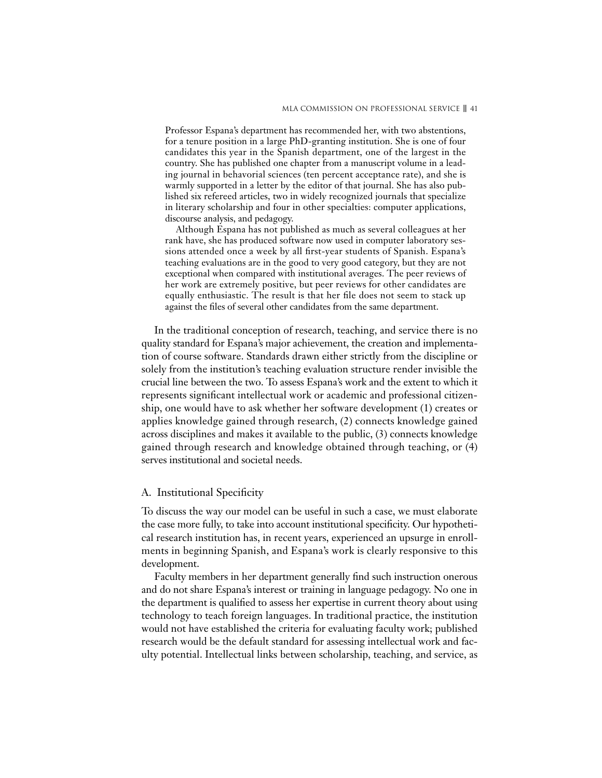Professor Espana's department has recommended her, with two abstentions, for a tenure position in a large PhD-granting institution. She is one of four candidates this year in the Spanish department, one of the largest in the country. She has published one chapter from a manuscript volume in a leading journal in behavorial sciences (ten percent acceptance rate), and she is warmly supported in a letter by the editor of that journal. She has also published six refereed articles, two in widely recognized journals that specialize in literary scholarship and four in other specialties: computer applications, discourse analysis, and pedagogy.

Although Espana has not published as much as several colleagues at her rank have, she has produced software now used in computer laboratory sessions attended once a week by all first-year students of Spanish. Espana's teaching evaluations are in the good to very good category, but they are not exceptional when compared with institutional averages. The peer reviews of her work are extremely positive, but peer reviews for other candidates are equally enthusiastic. The result is that her file does not seem to stack up against the files of several other candidates from the same department.

In the traditional conception of research, teaching, and service there is no quality standard for Espana's major achievement, the creation and implementation of course software. Standards drawn either strictly from the discipline or solely from the institution's teaching evaluation structure render invisible the crucial line between the two. To assess Espana's work and the extent to which it represents significant intellectual work or academic and professional citizenship, one would have to ask whether her software development (1) creates or applies knowledge gained through research, (2) connects knowledge gained across disciplines and makes it available to the public, (3) connects knowledge gained through research and knowledge obtained through teaching, or (4) serves institutional and societal needs.

## A. Institutional Specificity

To discuss the way our model can be useful in such a case, we must elaborate the case more fully, to take into account institutional specificity. Our hypothetical research institution has, in recent years, experienced an upsurge in enrollments in beginning Spanish, and Espana's work is clearly responsive to this development.

Faculty members in her department generally find such instruction onerous and do not share Espana's interest or training in language pedagogy. No one in the department is qualified to assess her expertise in current theory about using technology to teach foreign languages. In traditional practice, the institution would not have established the criteria for evaluating faculty work; published research would be the default standard for assessing intellectual work and faculty potential. Intellectual links between scholarship, teaching, and service, as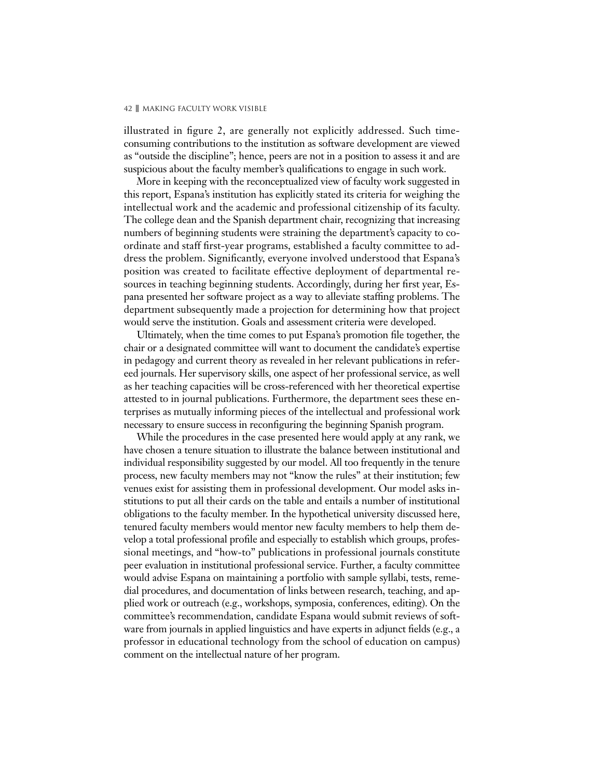illustrated in figure 2, are generally not explicitly addressed. Such timeconsuming contributions to the institution as software development are viewed as "outside the discipline"; hence, peers are not in a position to assess it and are suspicious about the faculty member's qualifications to engage in such work.

More in keeping with the reconceptualized view of faculty work suggested in this report, Espana's institution has explicitly stated its criteria for weighing the intellectual work and the academic and professional citizenship of its faculty. The college dean and the Spanish department chair, recognizing that increasing numbers of beginning students were straining the department's capacity to coordinate and staff first-year programs, established a faculty committee to address the problem. Significantly, everyone involved understood that Espana's position was created to facilitate effective deployment of departmental resources in teaching beginning students. Accordingly, during her first year, Espana presented her software project as a way to alleviate staffing problems. The department subsequently made a projection for determining how that project would serve the institution. Goals and assessment criteria were developed.

Ultimately, when the time comes to put Espana's promotion file together, the chair or a designated committee will want to document the candidate's expertise in pedagogy and current theory as revealed in her relevant publications in refereed journals. Her supervisory skills, one aspect of her professional service, as well as her teaching capacities will be cross-referenced with her theoretical expertise attested to in journal publications. Furthermore, the department sees these enterprises as mutually informing pieces of the intellectual and professional work necessary to ensure success in reconfiguring the beginning Spanish program.

While the procedures in the case presented here would apply at any rank, we have chosen a tenure situation to illustrate the balance between institutional and individual responsibility suggested by our model. All too frequently in the tenure process, new faculty members may not "know the rules" at their institution; few venues exist for assisting them in professional development. Our model asks institutions to put all their cards on the table and entails a number of institutional obligations to the faculty member. In the hypothetical university discussed here, tenured faculty members would mentor new faculty members to help them develop a total professional profile and especially to establish which groups, professional meetings, and "how-to" publications in professional journals constitute peer evaluation in institutional professional service. Further, a faculty committee would advise Espana on maintaining a portfolio with sample syllabi, tests, remedial procedures, and documentation of links between research, teaching, and applied work or outreach (e.g., workshops, symposia, conferences, editing). On the committee's recommendation, candidate Espana would submit reviews of software from journals in applied linguistics and have experts in adjunct fields (e.g., a professor in educational technology from the school of education on campus) comment on the intellectual nature of her program.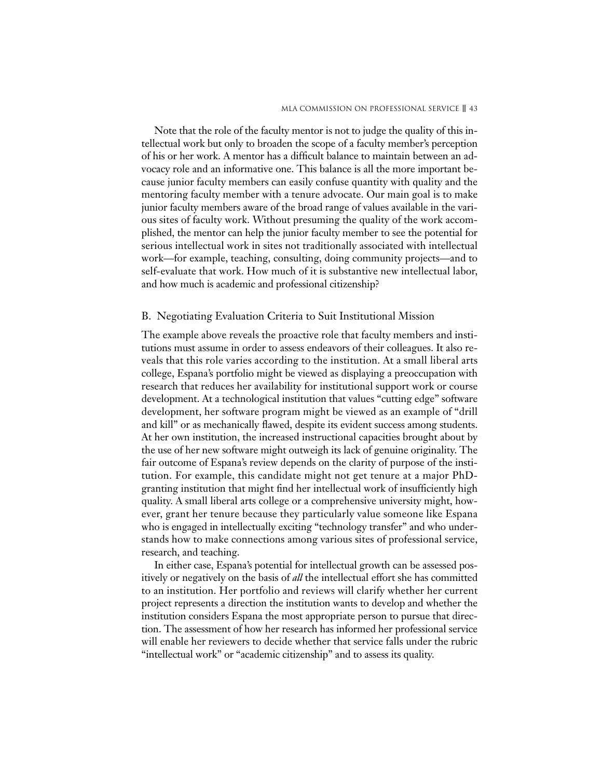Note that the role of the faculty mentor is not to judge the quality of this intellectual work but only to broaden the scope of a faculty member's perception of his or her work. A mentor has a difficult balance to maintain between an advocacy role and an informative one. This balance is all the more important because junior faculty members can easily confuse quantity with quality and the mentoring faculty member with a tenure advocate. Our main goal is to make junior faculty members aware of the broad range of values available in the various sites of faculty work. Without presuming the quality of the work accomplished, the mentor can help the junior faculty member to see the potential for serious intellectual work in sites not traditionally associated with intellectual work—for example, teaching, consulting, doing community projects—and to self-evaluate that work. How much of it is substantive new intellectual labor, and how much is academic and professional citizenship?

# B. Negotiating Evaluation Criteria to Suit Institutional Mission

The example above reveals the proactive role that faculty members and institutions must assume in order to assess endeavors of their colleagues. It also reveals that this role varies according to the institution. At a small liberal arts college, Espana's portfolio might be viewed as displaying a preoccupation with research that reduces her availability for institutional support work or course development. At a technological institution that values "cutting edge" software development, her software program might be viewed as an example of "drill and kill" or as mechanically flawed, despite its evident success among students. At her own institution, the increased instructional capacities brought about by the use of her new software might outweigh its lack of genuine originality. The fair outcome of Espana's review depends on the clarity of purpose of the institution. For example, this candidate might not get tenure at a major PhDgranting institution that might find her intellectual work of insufficiently high quality. A small liberal arts college or a comprehensive university might, however, grant her tenure because they particularly value someone like Espana who is engaged in intellectually exciting "technology transfer" and who understands how to make connections among various sites of professional service, research, and teaching.

In either case, Espana's potential for intellectual growth can be assessed positively or negatively on the basis of *all* the intellectual effort she has committed to an institution. Her portfolio and reviews will clarify whether her current project represents a direction the institution wants to develop and whether the institution considers Espana the most appropriate person to pursue that direction. The assessment of how her research has informed her professional service will enable her reviewers to decide whether that service falls under the rubric "intellectual work" or "academic citizenship" and to assess its quality.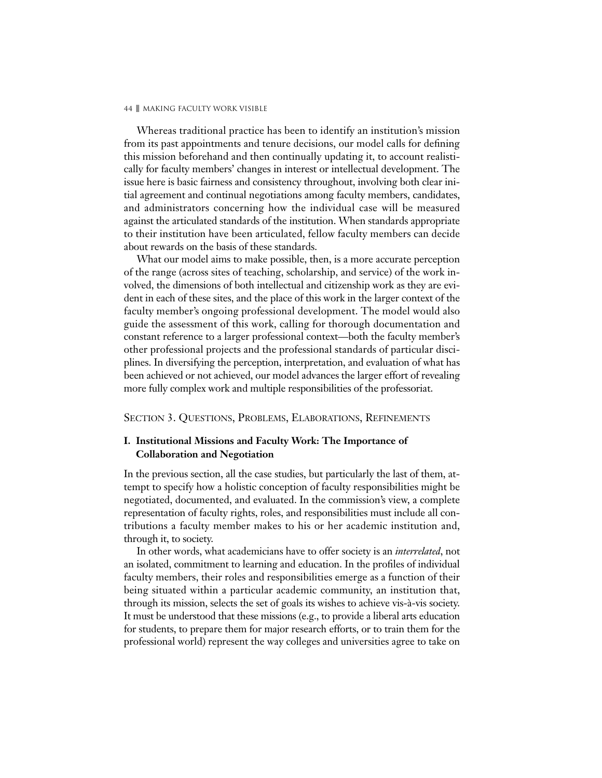#### 44 ||| making Faculty Work Visible

Whereas traditional practice has been to identify an institution's mission from its past appointments and tenure decisions, our model calls for defining this mission beforehand and then continually updating it, to account realistically for faculty members' changes in interest or intellectual development. The issue here is basic fairness and consistency throughout, involving both clear initial agreement and continual negotiations among faculty members, candidates, and administrators concerning how the individual case will be measured against the articulated standards of the institution. When standards appropriate to their institution have been articulated, fellow faculty members can decide about rewards on the basis of these standards.

What our model aims to make possible, then, is a more accurate perception of the range (across sites of teaching, scholarship, and service) of the work involved, the dimensions of both intellectual and citizenship work as they are evident in each of these sites, and the place of this work in the larger context of the faculty member's ongoing professional development. The model would also guide the assessment of this work, calling for thorough documentation and constant reference to a larger professional context—both the faculty member's other professional projects and the professional standards of particular disciplines. In diversifying the perception, interpretation, and evaluation of what has been achieved or not achieved, our model advances the larger effort of revealing more fully complex work and multiple responsibilities of the professoriat.

## SECTION 3. QUESTIONS, PROBLEMS, ELABORATIONS, REFINEMENTS

# **I. Institutional Missions and Faculty Work: The Importance of Collaboration and Negotiation**

In the previous section, all the case studies, but particularly the last of them, attempt to specify how a holistic conception of faculty responsibilities might be negotiated, documented, and evaluated. In the commission's view, a complete representation of faculty rights, roles, and responsibilities must include all contributions a faculty member makes to his or her academic institution and, through it, to society.

In other words, what academicians have to offer society is an *interrelated*, not an isolated, commitment to learning and education. In the profiles of individual faculty members, their roles and responsibilities emerge as a function of their being situated within a particular academic community, an institution that, through its mission, selects the set of goals its wishes to achieve vis-à-vis society. It must be understood that these missions (e.g., to provide a liberal arts education for students, to prepare them for major research efforts, or to train them for the professional world) represent the way colleges and universities agree to take on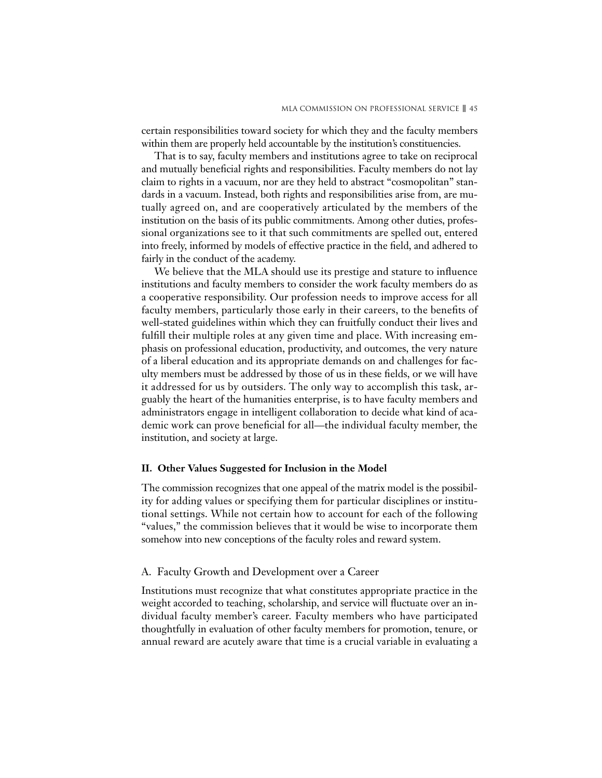certain responsibilities toward society for which they and the faculty members within them are properly held accountable by the institution's constituencies.

That is to say, faculty members and institutions agree to take on reciprocal and mutually beneficial rights and responsibilities. Faculty members do not lay claim to rights in a vacuum, nor are they held to abstract "cosmopolitan" standards in a vacuum. Instead, both rights and responsibilities arise from, are mutually agreed on, and are cooperatively articulated by the members of the institution on the basis of its public commitments. Among other duties, professional organizations see to it that such commitments are spelled out, entered into freely, informed by models of effective practice in the field, and adhered to fairly in the conduct of the academy.

We believe that the MLA should use its prestige and stature to influence institutions and faculty members to consider the work faculty members do as a cooperative responsibility. Our profession needs to improve access for all faculty members, particularly those early in their careers, to the benefits of well-stated guidelines within which they can fruitfully conduct their lives and fulfill their multiple roles at any given time and place. With increasing emphasis on professional education, productivity, and outcomes, the very nature of a liberal education and its appropriate demands on and challenges for faculty members must be addressed by those of us in these fields, or we will have it addressed for us by outsiders. The only way to accomplish this task, arguably the heart of the humanities enterprise, is to have faculty members and administrators engage in intelligent collaboration to decide what kind of academic work can prove beneficial for all—the individual faculty member, the institution, and society at large.

## **II. Other Values Suggested for Inclusion in the Model**

The commission recognizes that one appeal of the matrix model is the possibility for adding values or specifying them for particular disciplines or institutional settings. While not certain how to account for each of the following "values," the commission believes that it would be wise to incorporate them somehow into new conceptions of the faculty roles and reward system.

## A. Faculty Growth and Development over a Career

Institutions must recognize that what constitutes appropriate practice in the weight accorded to teaching, scholarship, and service will fluctuate over an individual faculty member's career. Faculty members who have participated thoughtfully in evaluation of other faculty members for promotion, tenure, or annual reward are acutely aware that time is a crucial variable in evaluating a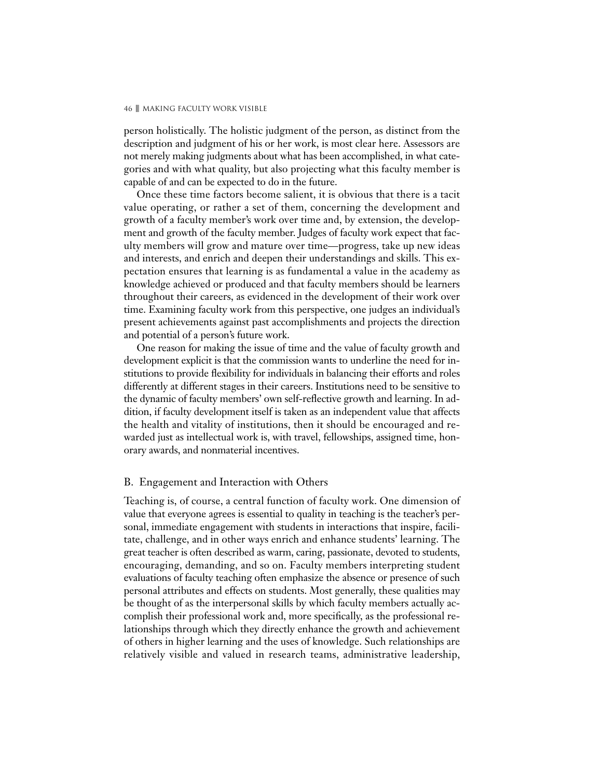person holistically. The holistic judgment of the person, as distinct from the description and judgment of his or her work, is most clear here. Assessors are not merely making judgments about what has been accomplished, in what categories and with what quality, but also projecting what this faculty member is capable of and can be expected to do in the future.

Once these time factors become salient, it is obvious that there is a tacit value operating, or rather a set of them, concerning the development and growth of a faculty member's work over time and, by extension, the development and growth of the faculty member. Judges of faculty work expect that faculty members will grow and mature over time—progress, take up new ideas and interests, and enrich and deepen their understandings and skills. This expectation ensures that learning is as fundamental a value in the academy as knowledge achieved or produced and that faculty members should be learners throughout their careers, as evidenced in the development of their work over time. Examining faculty work from this perspective, one judges an individual's present achievements against past accomplishments and projects the direction and potential of a person's future work.

One reason for making the issue of time and the value of faculty growth and development explicit is that the commission wants to underline the need for institutions to provide flexibility for individuals in balancing their efforts and roles differently at different stages in their careers. Institutions need to be sensitive to the dynamic of faculty members' own self-reflective growth and learning. In addition, if faculty development itself is taken as an independent value that affects the health and vitality of institutions, then it should be encouraged and rewarded just as intellectual work is, with travel, fellowships, assigned time, honorary awards, and nonmaterial incentives.

## B. Engagement and Interaction with Others

Teaching is, of course, a central function of faculty work. One dimension of value that everyone agrees is essential to quality in teaching is the teacher's personal, immediate engagement with students in interactions that inspire, facilitate, challenge, and in other ways enrich and enhance students' learning. The great teacher is often described as warm, caring, passionate, devoted to students, encouraging, demanding, and so on. Faculty members interpreting student evaluations of faculty teaching often emphasize the absence or presence of such personal attributes and effects on students. Most generally, these qualities may be thought of as the interpersonal skills by which faculty members actually accomplish their professional work and, more specifically, as the professional relationships through which they directly enhance the growth and achievement of others in higher learning and the uses of knowledge. Such relationships are relatively visible and valued in research teams, administrative leadership,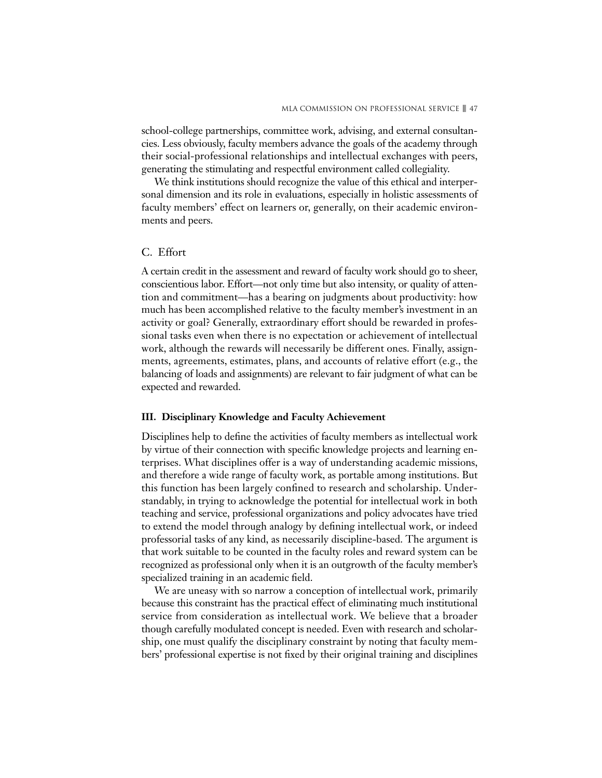school-college partnerships, committee work, advising, and external consultancies. Less obviously, faculty members advance the goals of the academy through their social-professional relationships and intellectual exchanges with peers, generating the stimulating and respectful environment called collegiality.

We think institutions should recognize the value of this ethical and interpersonal dimension and its role in evaluations, especially in holistic assessments of faculty members' effect on learners or, generally, on their academic environments and peers.

# C. Effort

A certain credit in the assessment and reward of faculty work should go to sheer, conscientious labor. Effort—not only time but also intensity, or quality of attention and commitment—has a bearing on judgments about productivity: how much has been accomplished relative to the faculty member's investment in an activity or goal? Generally, extraordinary effort should be rewarded in professional tasks even when there is no expectation or achievement of intellectual work, although the rewards will necessarily be different ones. Finally, assignments, agreements, estimates, plans, and accounts of relative effort (e.g., the balancing of loads and assignments) are relevant to fair judgment of what can be expected and rewarded.

# **III. Disciplinary Knowledge and Faculty Achievement**

Disciplines help to define the activities of faculty members as intellectual work by virtue of their connection with specific knowledge projects and learning enterprises. What disciplines offer is a way of understanding academic missions, and therefore a wide range of faculty work, as portable among institutions. But this function has been largely confined to research and scholarship. Understandably, in trying to acknowledge the potential for intellectual work in both teaching and service, professional organizations and policy advocates have tried to extend the model through analogy by defining intellectual work, or indeed professorial tasks of any kind, as necessarily discipline-based. The argument is that work suitable to be counted in the faculty roles and reward system can be recognized as professional only when it is an outgrowth of the faculty member's specialized training in an academic field.

We are uneasy with so narrow a conception of intellectual work, primarily because this constraint has the practical effect of eliminating much institutional service from consideration as intellectual work. We believe that a broader though carefully modulated concept is needed. Even with research and scholarship, one must qualify the disciplinary constraint by noting that faculty members' professional expertise is not fixed by their original training and disciplines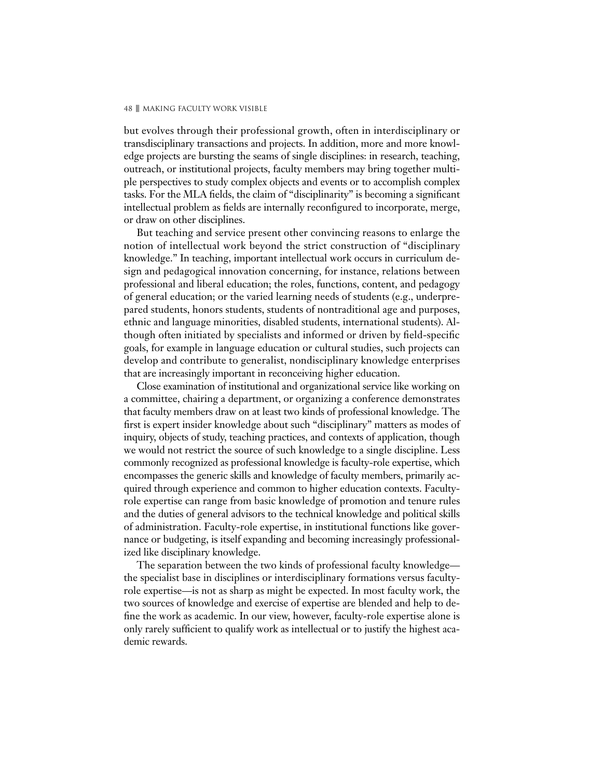but evolves through their professional growth, often in interdisciplinary or transdisciplinary transactions and projects. In addition, more and more knowledge projects are bursting the seams of single disciplines: in research, teaching, outreach, or institutional projects, faculty members may bring together multiple perspectives to study complex objects and events or to accomplish complex tasks. For the MLA fields, the claim of "disciplinarity" is becoming a significant intellectual problem as fields are internally reconfigured to incorporate, merge, or draw on other disciplines.

But teaching and service present other convincing reasons to enlarge the notion of intellectual work beyond the strict construction of "disciplinary knowledge." In teaching, important intellectual work occurs in curriculum design and pedagogical innovation concerning, for instance, relations between professional and liberal education; the roles, functions, content, and pedagogy of general education; or the varied learning needs of students (e.g., underprepared students, honors students, students of nontraditional age and purposes, ethnic and language minorities, disabled students, international students). Although often initiated by specialists and informed or driven by field-specific goals, for example in language education or cultural studies, such projects can develop and contribute to generalist, nondisciplinary knowledge enterprises that are increasingly important in reconceiving higher education.

Close examination of institutional and organizational service like working on a committee, chairing a department, or organizing a conference demonstrates that faculty members draw on at least two kinds of professional knowledge. The first is expert insider knowledge about such "disciplinary" matters as modes of inquiry, objects of study, teaching practices, and contexts of application, though we would not restrict the source of such knowledge to a single discipline. Less commonly recognized as professional knowledge is faculty-role expertise, which encompasses the generic skills and knowledge of faculty members, primarily acquired through experience and common to higher education contexts. Facultyrole expertise can range from basic knowledge of promotion and tenure rules and the duties of general advisors to the technical knowledge and political skills of administration. Faculty-role expertise, in institutional functions like governance or budgeting, is itself expanding and becoming increasingly professionalized like disciplinary knowledge.

The separation between the two kinds of professional faculty knowledge the specialist base in disciplines or interdisciplinary formations versus facultyrole expertise—is not as sharp as might be expected. In most faculty work, the two sources of knowledge and exercise of expertise are blended and help to define the work as academic. In our view, however, faculty-role expertise alone is only rarely sufficient to qualify work as intellectual or to justify the highest academic rewards.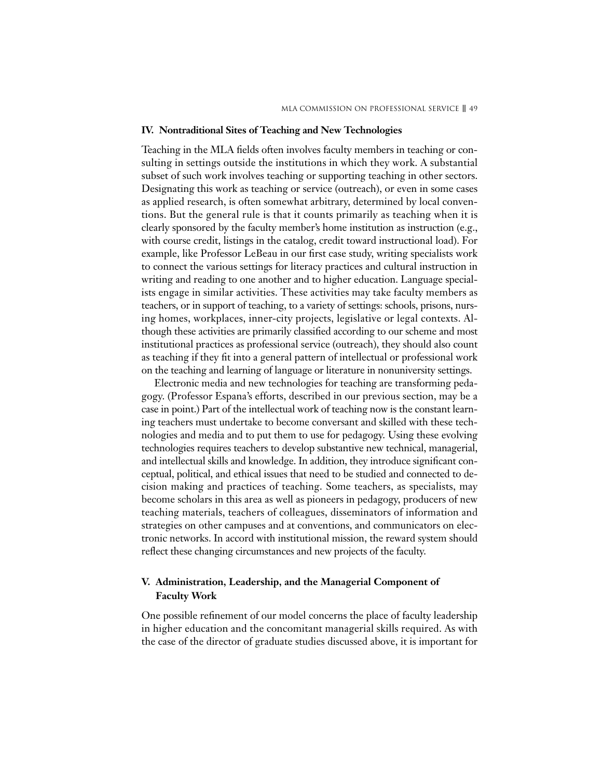### **IV. Nontraditional Sites of Teaching and New Technologies**

Teaching in the MLA fields often involves faculty members in teaching or consulting in settings outside the institutions in which they work. A substantial subset of such work involves teaching or supporting teaching in other sectors. Designating this work as teaching or service (outreach), or even in some cases as applied research, is often somewhat arbitrary, determined by local conventions. But the general rule is that it counts primarily as teaching when it is clearly sponsored by the faculty member's home institution as instruction (e.g., with course credit, listings in the catalog, credit toward instructional load). For example, like Professor LeBeau in our first case study, writing specialists work to connect the various settings for literacy practices and cultural instruction in writing and reading to one another and to higher education. Language specialists engage in similar activities. These activities may take faculty members as teachers, or in support of teaching, to a variety of settings: schools, prisons, nursing homes, workplaces, inner-city projects, legislative or legal contexts. Although these activities are primarily classified according to our scheme and most institutional practices as professional service (outreach), they should also count as teaching if they fit into a general pattern of intellectual or professional work on the teaching and learning of language or literature in nonuniversity settings.

Electronic media and new technologies for teaching are transforming pedagogy. (Professor Espana's efforts, described in our previous section, may be a case in point.) Part of the intellectual work of teaching now is the constant learning teachers must undertake to become conversant and skilled with these technologies and media and to put them to use for pedagogy. Using these evolving technologies requires teachers to develop substantive new technical, managerial, and intellectual skills and knowledge. In addition, they introduce significant conceptual, political, and ethical issues that need to be studied and connected to decision making and practices of teaching. Some teachers, as specialists, may become scholars in this area as well as pioneers in pedagogy, producers of new teaching materials, teachers of colleagues, disseminators of information and strategies on other campuses and at conventions, and communicators on electronic networks. In accord with institutional mission, the reward system should reflect these changing circumstances and new projects of the faculty.

# **V. Administration, Leadership, and the Managerial Component of Faculty Work**

One possible refinement of our model concerns the place of faculty leadership in higher education and the concomitant managerial skills required. As with the case of the director of graduate studies discussed above, it is important for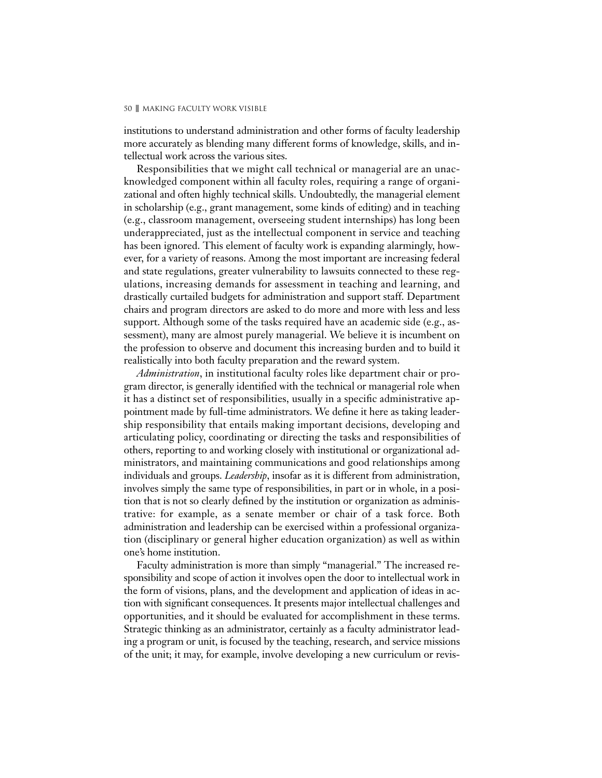institutions to understand administration and other forms of faculty leadership more accurately as blending many different forms of knowledge, skills, and intellectual work across the various sites.

Responsibilities that we might call technical or managerial are an unacknowledged component within all faculty roles, requiring a range of organizational and often highly technical skills. Undoubtedly, the managerial element in scholarship (e.g., grant management, some kinds of editing) and in teaching (e.g., classroom management, overseeing student internships) has long been underappreciated, just as the intellectual component in service and teaching has been ignored. This element of faculty work is expanding alarmingly, however, for a variety of reasons. Among the most important are increasing federal and state regulations, greater vulnerability to lawsuits connected to these regulations, increasing demands for assessment in teaching and learning, and drastically curtailed budgets for administration and support staff. Department chairs and program directors are asked to do more and more with less and less support. Although some of the tasks required have an academic side (e.g., assessment), many are almost purely managerial. We believe it is incumbent on the profession to observe and document this increasing burden and to build it realistically into both faculty preparation and the reward system.

*Administration*, in institutional faculty roles like department chair or program director, is generally identified with the technical or managerial role when it has a distinct set of responsibilities, usually in a specific administrative appointment made by full-time administrators. We define it here as taking leadership responsibility that entails making important decisions, developing and articulating policy, coordinating or directing the tasks and responsibilities of others, reporting to and working closely with institutional or organizational administrators, and maintaining communications and good relationships among individuals and groups. *Leadership*, insofar as it is different from administration, involves simply the same type of responsibilities, in part or in whole, in a position that is not so clearly defined by the institution or organization as administrative: for example, as a senate member or chair of a task force. Both administration and leadership can be exercised within a professional organization (disciplinary or general higher education organization) as well as within one's home institution.

Faculty administration is more than simply "managerial." The increased responsibility and scope of action it involves open the door to intellectual work in the form of visions, plans, and the development and application of ideas in action with significant consequences. It presents major intellectual challenges and opportunities, and it should be evaluated for accomplishment in these terms. Strategic thinking as an administrator, certainly as a faculty administrator leading a program or unit, is focused by the teaching, research, and service missions of the unit; it may, for example, involve developing a new curriculum or revis-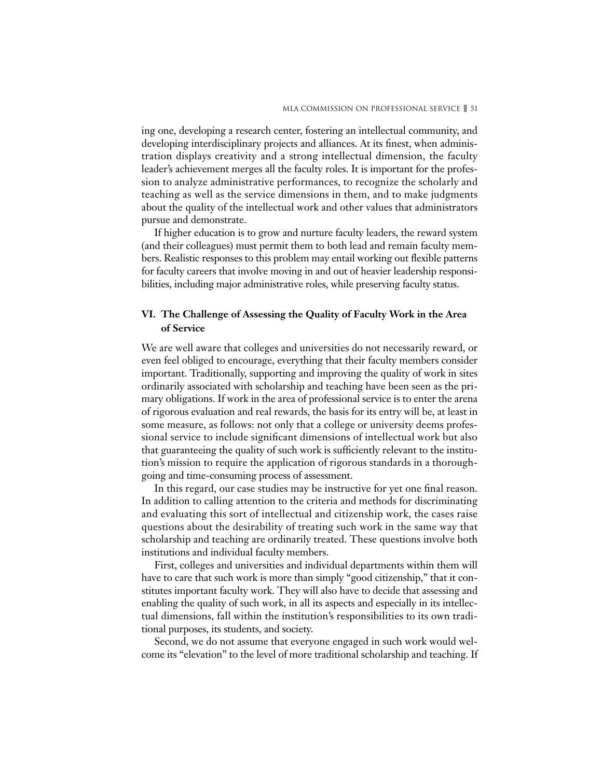ing one, developing a research center, fostering an intellectual community, and developing interdisciplinary projects and alliances. At its finest, when administration displays creativity and a strong intellectual dimension, the faculty leader's achievement merges all the faculty roles. It is important for the profession to analyze administrative performances, to recognize the scholarly and teaching as well as the service dimensions in them, and to make judgments about the quality of the intellectual work and other values that administrators pursue and demonstrate.

If higher education is to grow and nurture faculty leaders, the reward system (and their colleagues) must permit them to both lead and remain faculty members. Realistic responses to this problem may entail working out flexible patterns for faculty careers that involve moving in and out of heavier leadership responsibilities, including major administrative roles, while preserving faculty status.

# **VI. The Challenge of Assessing the Quality of Faculty Work in the Area of Service**

We are well aware that colleges and universities do not necessarily reward, or even feel obliged to encourage, everything that their faculty members consider important. Traditionally, supporting and improving the quality of work in sites ordinarily associated with scholarship and teaching have been seen as the primary obligations. If work in the area of professional service is to enter the arena of rigorous evaluation and real rewards, the basis for its entry will be, at least in some measure, as follows: not only that a college or university deems professional service to include significant dimensions of intellectual work but also that guaranteeing the quality of such work is sufficiently relevant to the institution's mission to require the application of rigorous standards in a thoroughgoing and time-consuming process of assessment.

In this regard, our case studies may be instructive for yet one final reason. In addition to calling attention to the criteria and methods for discriminating and evaluating this sort of intellectual and citizenship work, the cases raise questions about the desirability of treating such work in the same way that scholarship and teaching are ordinarily treated. These questions involve both institutions and individual faculty members.

First, colleges and universities and individual departments within them will have to care that such work is more than simply "good citizenship," that it constitutes important faculty work. They will also have to decide that assessing and enabling the quality of such work, in all its aspects and especially in its intellectual dimensions, fall within the institution's responsibilities to its own traditional purposes, its students, and society.

Second, we do not assume that everyone engaged in such work would welcome its "elevation" to the level of more traditional scholarship and teaching. If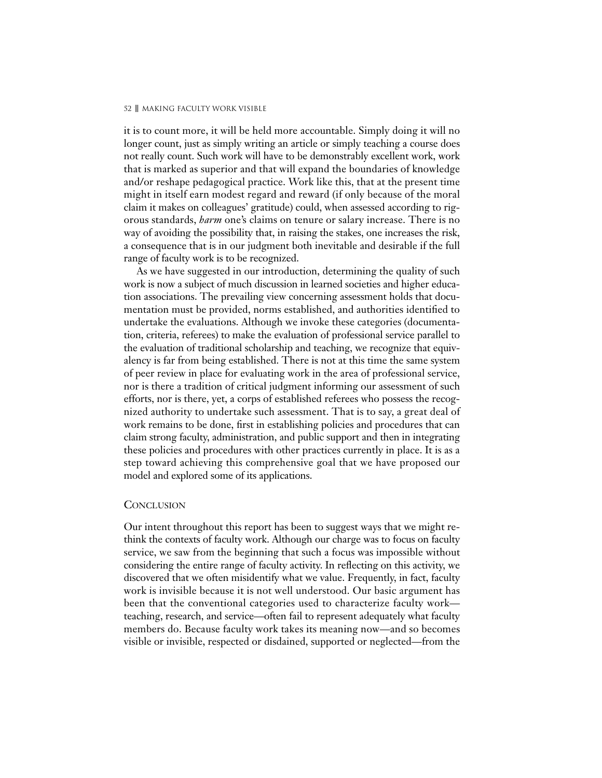it is to count more, it will be held more accountable. Simply doing it will no longer count, just as simply writing an article or simply teaching a course does not really count. Such work will have to be demonstrably excellent work, work that is marked as superior and that will expand the boundaries of knowledge and/or reshape pedagogical practice. Work like this, that at the present time might in itself earn modest regard and reward (if only because of the moral claim it makes on colleagues' gratitude) could, when assessed according to rigorous standards, *harm* one's claims on tenure or salary increase. There is no way of avoiding the possibility that, in raising the stakes, one increases the risk, a consequence that is in our judgment both inevitable and desirable if the full range of faculty work is to be recognized.

As we have suggested in our introduction, determining the quality of such work is now a subject of much discussion in learned societies and higher education associations. The prevailing view concerning assessment holds that documentation must be provided, norms established, and authorities identified to undertake the evaluations. Although we invoke these categories (documentation, criteria, referees) to make the evaluation of professional service parallel to the evaluation of traditional scholarship and teaching, we recognize that equivalency is far from being established. There is not at this time the same system of peer review in place for evaluating work in the area of professional service, nor is there a tradition of critical judgment informing our assessment of such efforts, nor is there, yet, a corps of established referees who possess the recognized authority to undertake such assessment. That is to say, a great deal of work remains to be done, first in establishing policies and procedures that can claim strong faculty, administration, and public support and then in integrating these policies and procedures with other practices currently in place. It is as a step toward achieving this comprehensive goal that we have proposed our model and explored some of its applications.

### **CONCLUSION**

Our intent throughout this report has been to suggest ways that we might rethink the contexts of faculty work. Although our charge was to focus on faculty service, we saw from the beginning that such a focus was impossible without considering the entire range of faculty activity. In reflecting on this activity, we discovered that we often misidentify what we value. Frequently, in fact, faculty work is invisible because it is not well understood. Our basic argument has been that the conventional categories used to characterize faculty work teaching, research, and service—often fail to represent adequately what faculty members do. Because faculty work takes its meaning now—and so becomes visible or invisible, respected or disdained, supported or neglected—from the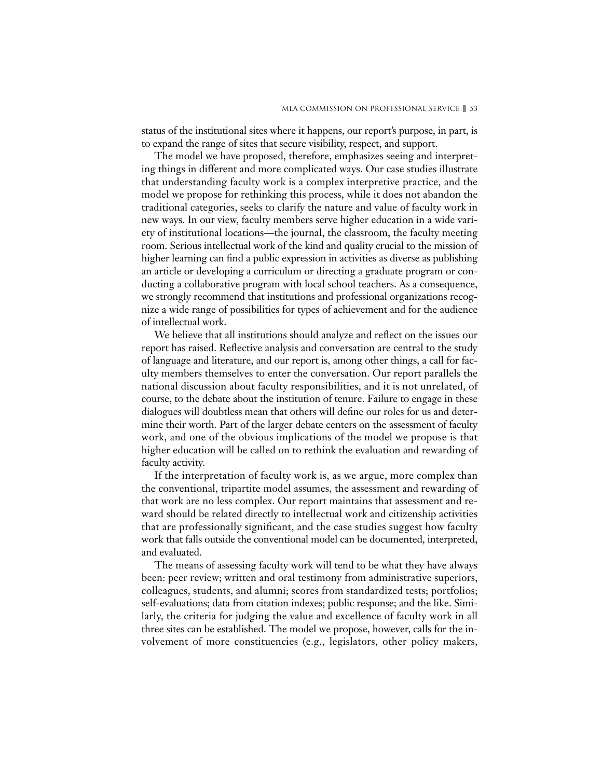status of the institutional sites where it happens, our report's purpose, in part, is to expand the range of sites that secure visibility, respect, and support.

The model we have proposed, therefore, emphasizes seeing and interpreting things in different and more complicated ways. Our case studies illustrate that understanding faculty work is a complex interpretive practice, and the model we propose for rethinking this process, while it does not abandon the traditional categories, seeks to clarify the nature and value of faculty work in new ways. In our view, faculty members serve higher education in a wide variety of institutional locations—the journal, the classroom, the faculty meeting room. Serious intellectual work of the kind and quality crucial to the mission of higher learning can find a public expression in activities as diverse as publishing an article or developing a curriculum or directing a graduate program or conducting a collaborative program with local school teachers. As a consequence, we strongly recommend that institutions and professional organizations recognize a wide range of possibilities for types of achievement and for the audience of intellectual work.

We believe that all institutions should analyze and reflect on the issues our report has raised. Reflective analysis and conversation are central to the study of language and literature, and our report is, among other things, a call for faculty members themselves to enter the conversation. Our report parallels the national discussion about faculty responsibilities, and it is not unrelated, of course, to the debate about the institution of tenure. Failure to engage in these dialogues will doubtless mean that others will define our roles for us and determine their worth. Part of the larger debate centers on the assessment of faculty work, and one of the obvious implications of the model we propose is that higher education will be called on to rethink the evaluation and rewarding of faculty activity.

If the interpretation of faculty work is, as we argue, more complex than the conventional, tripartite model assumes, the assessment and rewarding of that work are no less complex. Our report maintains that assessment and reward should be related directly to intellectual work and citizenship activities that are professionally significant, and the case studies suggest how faculty work that falls outside the conventional model can be documented, interpreted, and evaluated.

The means of assessing faculty work will tend to be what they have always been: peer review; written and oral testimony from administrative superiors, colleagues, students, and alumni; scores from standardized tests; portfolios; self-evaluations; data from citation indexes; public response; and the like. Similarly, the criteria for judging the value and excellence of faculty work in all three sites can be established. The model we propose, however, calls for the involvement of more constituencies (e.g., legislators, other policy makers,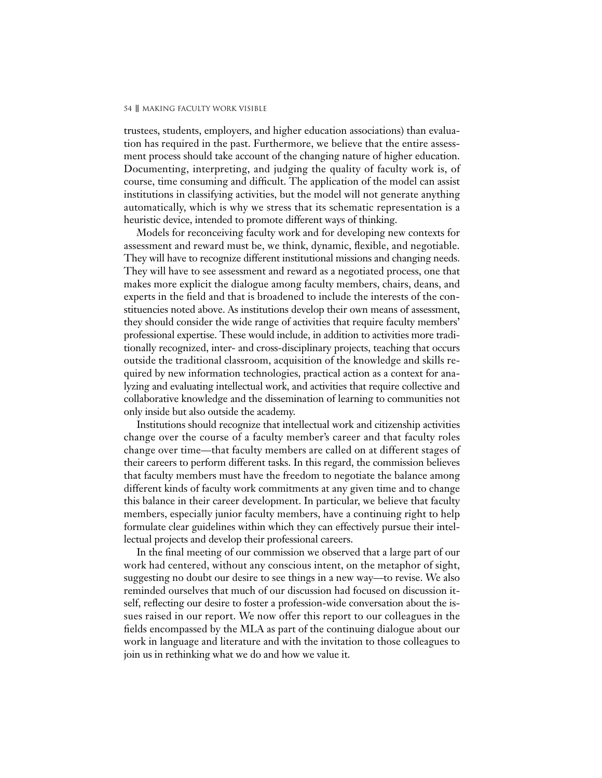trustees, students, employers, and higher education associations) than evaluation has required in the past. Furthermore, we believe that the entire assessment process should take account of the changing nature of higher education. Documenting, interpreting, and judging the quality of faculty work is, of course, time consuming and difficult. The application of the model can assist institutions in classifying activities, but the model will not generate anything automatically, which is why we stress that its schematic representation is a heuristic device, intended to promote different ways of thinking.

Models for reconceiving faculty work and for developing new contexts for assessment and reward must be, we think, dynamic, flexible, and negotiable. They will have to recognize different institutional missions and changing needs. They will have to see assessment and reward as a negotiated process, one that makes more explicit the dialogue among faculty members, chairs, deans, and experts in the field and that is broadened to include the interests of the constituencies noted above. As institutions develop their own means of assessment, they should consider the wide range of activities that require faculty members' professional expertise. These would include, in addition to activities more traditionally recognized, inter- and cross-disciplinary projects, teaching that occurs outside the traditional classroom, acquisition of the knowledge and skills required by new information technologies, practical action as a context for analyzing and evaluating intellectual work, and activities that require collective and collaborative knowledge and the dissemination of learning to communities not only inside but also outside the academy.

Institutions should recognize that intellectual work and citizenship activities change over the course of a faculty member's career and that faculty roles change over time—that faculty members are called on at different stages of their careers to perform different tasks. In this regard, the commission believes that faculty members must have the freedom to negotiate the balance among different kinds of faculty work commitments at any given time and to change this balance in their career development. In particular, we believe that faculty members, especially junior faculty members, have a continuing right to help formulate clear guidelines within which they can effectively pursue their intellectual projects and develop their professional careers.

In the final meeting of our commission we observed that a large part of our work had centered, without any conscious intent, on the metaphor of sight, suggesting no doubt our desire to see things in a new way—to revise. We also reminded ourselves that much of our discussion had focused on discussion itself, reflecting our desire to foster a profession-wide conversation about the issues raised in our report. We now offer this report to our colleagues in the fields encompassed by the MLA as part of the continuing dialogue about our work in language and literature and with the invitation to those colleagues to join us in rethinking what we do and how we value it.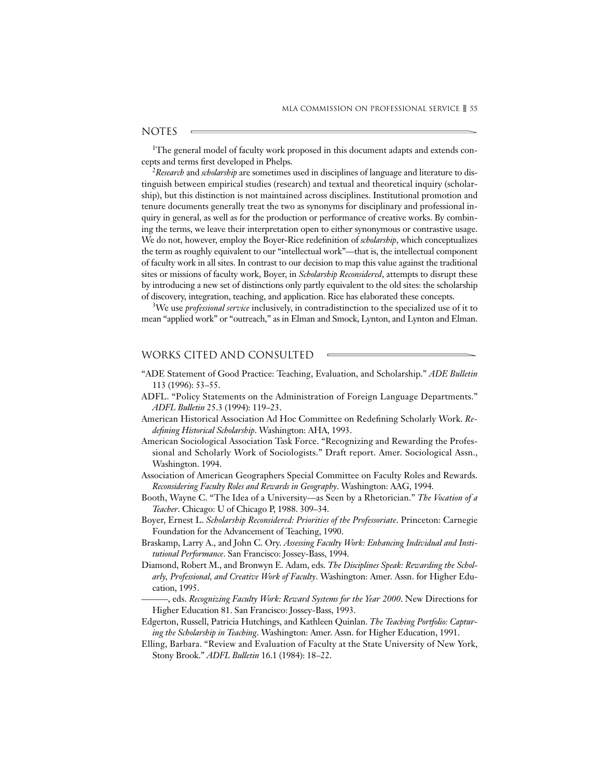#### **NOTES**

<sup>1</sup>The general model of faculty work proposed in this document adapts and extends concepts and terms first developed in Phelps.

2 *Research* and *scholarship* are sometimes used in disciplines of language and literature to distinguish between empirical studies (research) and textual and theoretical inquiry (scholarship), but this distinction is not maintained across disciplines. Institutional promotion and tenure documents generally treat the two as synonyms for disciplinary and professional inquiry in general, as well as for the production or performance of creative works. By combining the terms, we leave their interpretation open to either synonymous or contrastive usage. We do not, however, employ the Boyer-Rice redefinition of *scholarship*, which conceptualizes the term as roughly equivalent to our "intellectual work"—that is, the intellectual component of faculty work in all sites. In contrast to our decision to map this value against the traditional sites or missions of faculty work, Boyer, in *Scholarship Reconsidered*, attempts to disrupt these by introducing a new set of distinctions only partly equivalent to the old sites: the scholarship of discovery, integration, teaching, and application. Rice has elaborated these concepts.

3We use *professional service* inclusively, in contradistinction to the specialized use of it to mean "applied work" or "outreach," as in Elman and Smock, Lynton, and Lynton and Elman.

### Works Cited and Consulted

- "ADE Statement of Good Practice: Teaching, Evaluation, and Scholarship." *ADE Bulletin* 113 (1996): 53–55.
- ADFL. "Policy Statements on the Administration of Foreign Language Departments." *ADFL Bulletin* 25.3 (1994): 119–23.
- American Historical Association Ad Hoc Committee on Redefining Scholarly Work. *Redefining Historical Scholarship*. Washington: AHA, 1993.
- American Sociological Association Task Force. "Recognizing and Rewarding the Professional and Scholarly Work of Sociologists." Draft report. Amer. Sociological Assn., Washington. 1994.
- Association of American Geographers Special Committee on Faculty Roles and Rewards. *Reconsidering Faculty Roles and Rewards in Geography*. Washington: AAG, 1994.
- Booth, Wayne C. "The Idea of a University—as Seen by a Rhetorician." *The Vocation of a Teacher*. Chicago: U of Chicago P, 1988. 309–34.
- Boyer, Ernest L. *Scholarship Reconsidered: Priorities of the Professoriate*. Princeton: Carnegie Foundation for the Advancement of Teaching, 1990.
- Braskamp, Larry A., and John C. Ory. *Assessing Faculty Work: Enhancing Individual and Institutional Performance*. San Francisco: Jossey-Bass, 1994.
- Diamond, Robert M., and Bronwyn E. Adam, eds. *The Disciplines Speak: Rewarding the Scholarly, Professional, and Creative Work of Faculty*. Washington: Amer. Assn. for Higher Education, 1995.
	- ———, eds. *Recognizing Faculty Work: Reward Systems for the Year 2000*. New Directions for Higher Education 81. San Francisco: Jossey-Bass, 1993.
- Edgerton, Russell, Patricia Hutchings, and Kathleen Quinlan. *The Teaching Portfolio: Capturing the Scholarship in Teaching*. Washington: Amer. Assn. for Higher Education, 1991.
- Elling, Barbara. "Review and Evaluation of Faculty at the State University of New York, Stony Brook." *ADFL Bulletin* 16.1 (1984): 18–22.